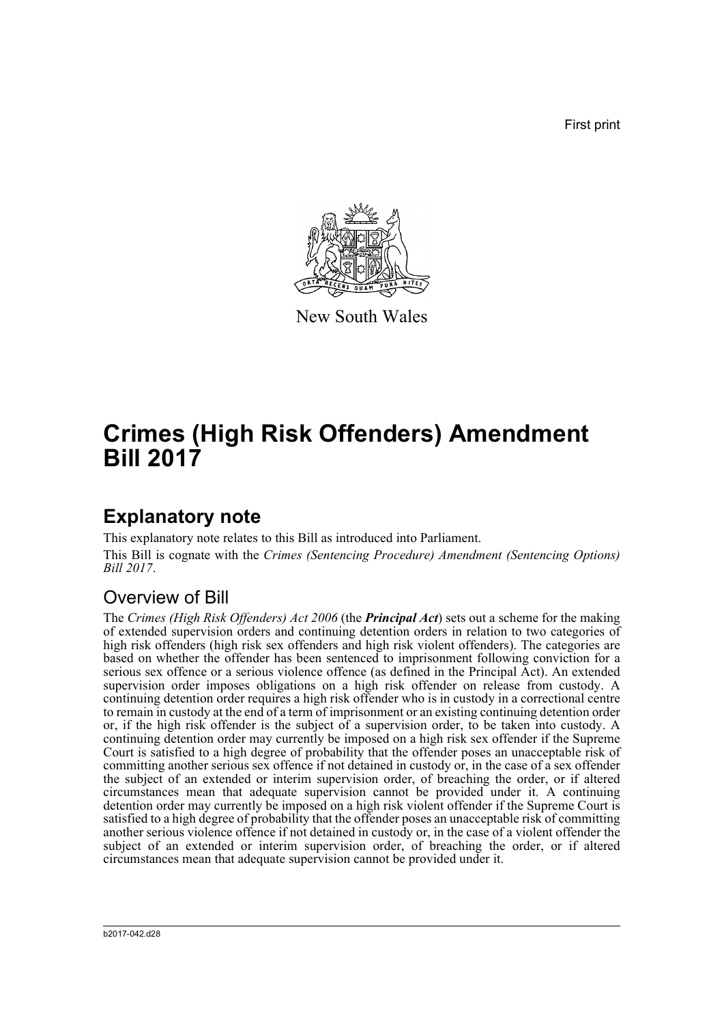First print



New South Wales

# **Crimes (High Risk Offenders) Amendment Bill 2017**

# **Explanatory note**

This explanatory note relates to this Bill as introduced into Parliament. This Bill is cognate with the *Crimes (Sentencing Procedure) Amendment (Sentencing Options) Bill 2017*.

## Overview of Bill

The *Crimes (High Risk Offenders) Act 2006* (the *Principal Act*) sets out a scheme for the making of extended supervision orders and continuing detention orders in relation to two categories of high risk offenders (high risk sex offenders and high risk violent offenders). The categories are based on whether the offender has been sentenced to imprisonment following conviction for a serious sex offence or a serious violence offence (as defined in the Principal Act). An extended supervision order imposes obligations on a high risk offender on release from custody. A continuing detention order requires a high risk offender who is in custody in a correctional centre to remain in custody at the end of a term of imprisonment or an existing continuing detention order or, if the high risk offender is the subject of a supervision order, to be taken into custody. A continuing detention order may currently be imposed on a high risk sex offender if the Supreme Court is satisfied to a high degree of probability that the offender poses an unacceptable risk of committing another serious sex offence if not detained in custody or, in the case of a sex offender the subject of an extended or interim supervision order, of breaching the order, or if altered circumstances mean that adequate supervision cannot be provided under it. A continuing detention order may currently be imposed on a high risk violent offender if the Supreme Court is satisfied to a high degree of probability that the offender poses an unacceptable risk of committing another serious violence offence if not detained in custody or, in the case of a violent offender the subject of an extended or interim supervision order, of breaching the order, or if altered circumstances mean that adequate supervision cannot be provided under it.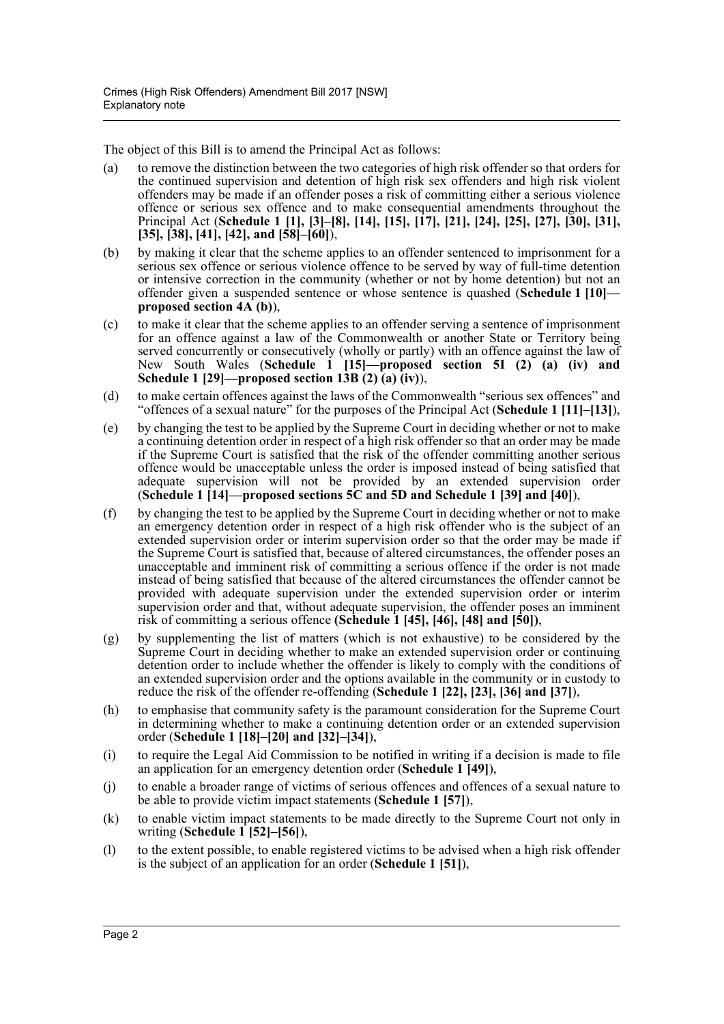The object of this Bill is to amend the Principal Act as follows:

- (a) to remove the distinction between the two categories of high risk offender so that orders for the continued supervision and detention of high risk sex offenders and high risk violent offenders may be made if an offender poses a risk of committing either a serious violence offence or serious sex offence and to make consequential amendments throughout the Principal Act (**Schedule 1 [1], [3]–[8], [14], [15], [17], [21], [24], [25], [27], [30], [31], [35], [38], [41], [42], and [58]–[60]**),
- (b) by making it clear that the scheme applies to an offender sentenced to imprisonment for a serious sex offence or serious violence offence to be served by way of full-time detention or intensive correction in the community (whether or not by home detention) but not an offender given a suspended sentence or whose sentence is quashed (**Schedule 1 [10] proposed section 4A (b)**),
- (c) to make it clear that the scheme applies to an offender serving a sentence of imprisonment for an offence against a law of the Commonwealth or another State or Territory being served concurrently or consecutively (wholly or partly) with an offence against the law of New South Wales (**Schedule 1 [15]—proposed section 5I (2) (a) (iv) and Schedule 1 [29]—proposed section 13B (2) (a) (iv)**),
- (d) to make certain offences against the laws of the Commonwealth "serious sex offences" and "offences of a sexual nature" for the purposes of the Principal Act (**Schedule 1 [11]–[13]**),
- (e) by changing the test to be applied by the Supreme Court in deciding whether or not to make a continuing detention order in respect of a high risk offender so that an order may be made if the Supreme Court is satisfied that the risk of the offender committing another serious offence would be unacceptable unless the order is imposed instead of being satisfied that adequate supervision will not be provided by an extended supervision order (**Schedule 1 [14]—proposed sections 5C and 5D and Schedule 1 [39] and [40]**),
- (f) by changing the test to be applied by the Supreme Court in deciding whether or not to make an emergency detention order in respect of a high risk offender who is the subject of an extended supervision order or interim supervision order so that the order may be made if the Supreme Court is satisfied that, because of altered circumstances, the offender poses an unacceptable and imminent risk of committing a serious offence if the order is not made instead of being satisfied that because of the altered circumstances the offender cannot be provided with adequate supervision under the extended supervision order or interim supervision order and that, without adequate supervision, the offender poses an imminent risk of committing a serious offence **(Schedule 1 [45], [46], [48] and [50])**,
- (g) by supplementing the list of matters (which is not exhaustive) to be considered by the Supreme Court in deciding whether to make an extended supervision order or continuing detention order to include whether the offender is likely to comply with the conditions of an extended supervision order and the options available in the community or in custody to reduce the risk of the offender re-offending (**Schedule 1 [22], [23], [36] and [37]**),
- (h) to emphasise that community safety is the paramount consideration for the Supreme Court in determining whether to make a continuing detention order or an extended supervision order (**Schedule 1 [18]–[20] and [32]–[34]**),
- (i) to require the Legal Aid Commission to be notified in writing if a decision is made to file an application for an emergency detention order (**Schedule 1 [49]**),
- (j) to enable a broader range of victims of serious offences and offences of a sexual nature to be able to provide victim impact statements (**Schedule 1 [57]**),
- (k) to enable victim impact statements to be made directly to the Supreme Court not only in writing (**Schedule 1 [52]–[56]**),
- (l) to the extent possible, to enable registered victims to be advised when a high risk offender is the subject of an application for an order (**Schedule 1 [51]**),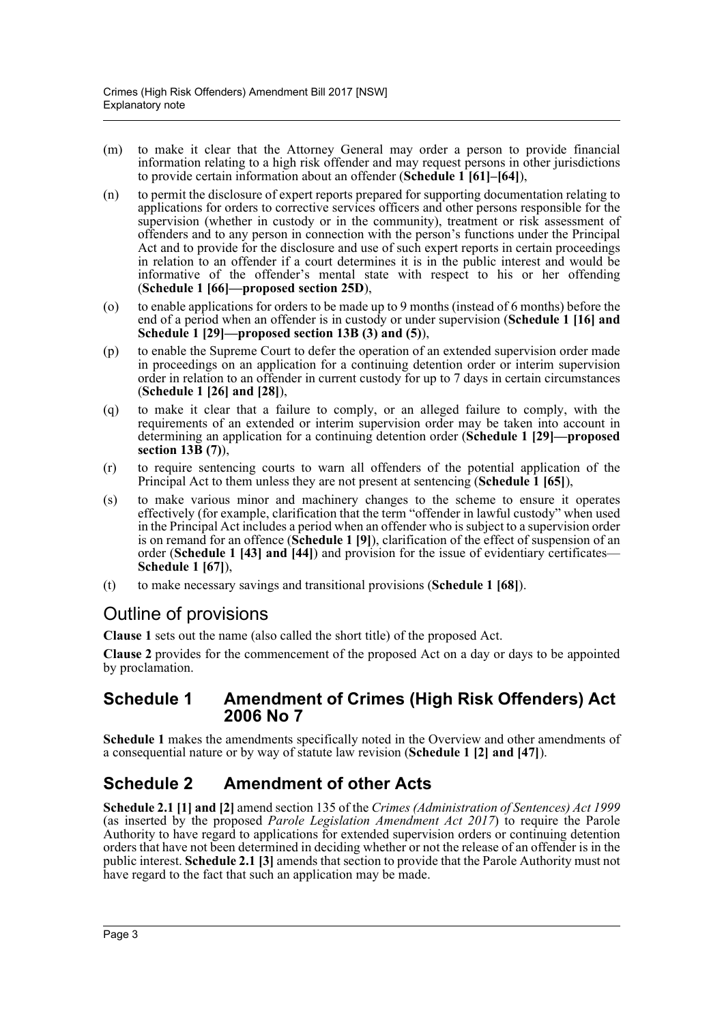- (m) to make it clear that the Attorney General may order a person to provide financial information relating to a high risk offender and may request persons in other jurisdictions to provide certain information about an offender (**Schedule 1 [61]–[64]**),
- (n) to permit the disclosure of expert reports prepared for supporting documentation relating to applications for orders to corrective services officers and other persons responsible for the supervision (whether in custody or in the community), treatment or risk assessment of offenders and to any person in connection with the person's functions under the Principal Act and to provide for the disclosure and use of such expert reports in certain proceedings in relation to an offender if a court determines it is in the public interest and would be informative of the offender's mental state with respect to his or her offending (**Schedule 1 [66]—proposed section 25D**),
- (o) to enable applications for orders to be made up to 9 months (instead of 6 months) before the end of a period when an offender is in custody or under supervision (**Schedule 1 [16] and Schedule 1 [29]—proposed section 13B (3) and (5)**),
- (p) to enable the Supreme Court to defer the operation of an extended supervision order made in proceedings on an application for a continuing detention order or interim supervision order in relation to an offender in current custody for up to 7 days in certain circumstances (**Schedule 1 [26] and [28]**),
- (q) to make it clear that a failure to comply, or an alleged failure to comply, with the requirements of an extended or interim supervision order may be taken into account in determining an application for a continuing detention order (**Schedule 1 [29]—proposed section 13B (7)**),
- (r) to require sentencing courts to warn all offenders of the potential application of the Principal Act to them unless they are not present at sentencing (**Schedule 1 [65]**),
- (s) to make various minor and machinery changes to the scheme to ensure it operates effectively (for example, clarification that the term "offender in lawful custody" when used in the Principal Act includes a period when an offender who is subject to a supervision order is on remand for an offence (**Schedule 1 [9]**), clarification of the effect of suspension of an order (**Schedule 1 [43] and [44]**) and provision for the issue of evidentiary certificates— **Schedule 1 [67]**),
- (t) to make necessary savings and transitional provisions (**Schedule 1 [68]**).

## Outline of provisions

**Clause 1** sets out the name (also called the short title) of the proposed Act.

**Clause 2** provides for the commencement of the proposed Act on a day or days to be appointed by proclamation.

## **Schedule 1 Amendment of Crimes (High Risk Offenders) Act 2006 No 7**

**Schedule 1** makes the amendments specifically noted in the Overview and other amendments of a consequential nature or by way of statute law revision (**Schedule 1 [2] and [47]**).

## **Schedule 2 Amendment of other Acts**

**Schedule 2.1 [1] and [2]** amend section 135 of the *Crimes (Administration of Sentences) Act 1999* (as inserted by the proposed *Parole Legislation Amendment Act 2017*) to require the Parole Authority to have regard to applications for extended supervision orders or continuing detention orders that have not been determined in deciding whether or not the release of an offender is in the public interest. **Schedule 2.1 [3]** amends that section to provide that the Parole Authority must not have regard to the fact that such an application may be made.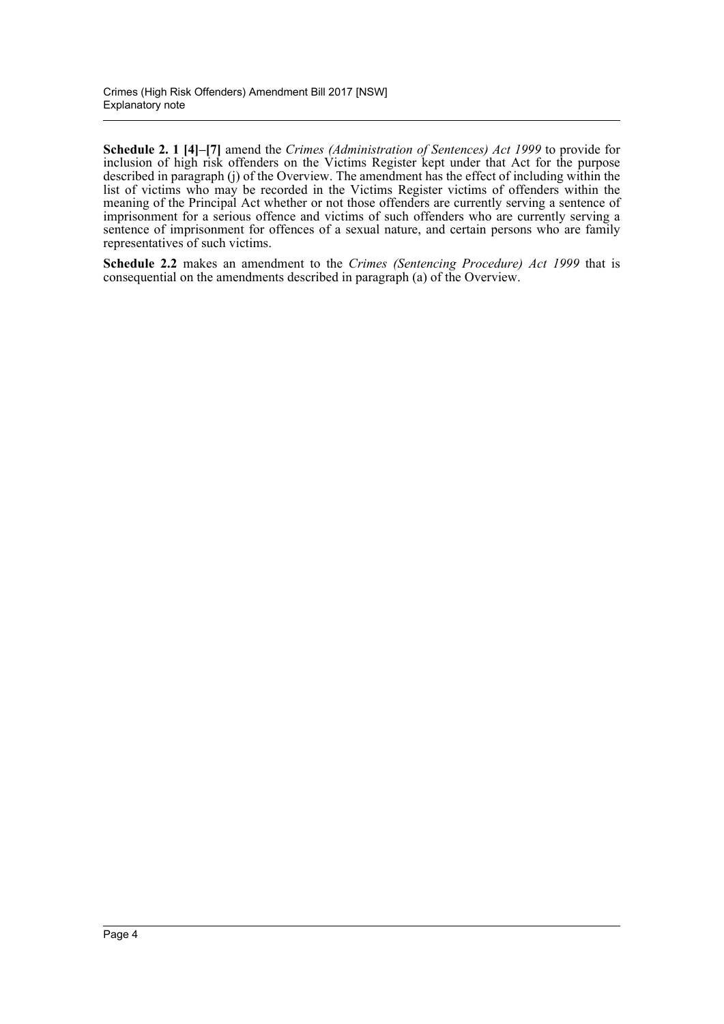**Schedule 2. 1 [4]–[7]** amend the *Crimes (Administration of Sentences) Act 1999* to provide for inclusion of high risk offenders on the Victims Register kept under that Act for the purpose described in paragraph (j) of the Overview. The amendment has the effect of including within the list of victims who may be recorded in the Victims Register victims of offenders within the meaning of the Principal Act whether or not those offenders are currently serving a sentence of imprisonment for a serious offence and victims of such offenders who are currently serving a sentence of imprisonment for offences of a sexual nature, and certain persons who are family representatives of such victims.

**Schedule 2.2** makes an amendment to the *Crimes (Sentencing Procedure) Act 1999* that is consequential on the amendments described in paragraph (a) of the Overview.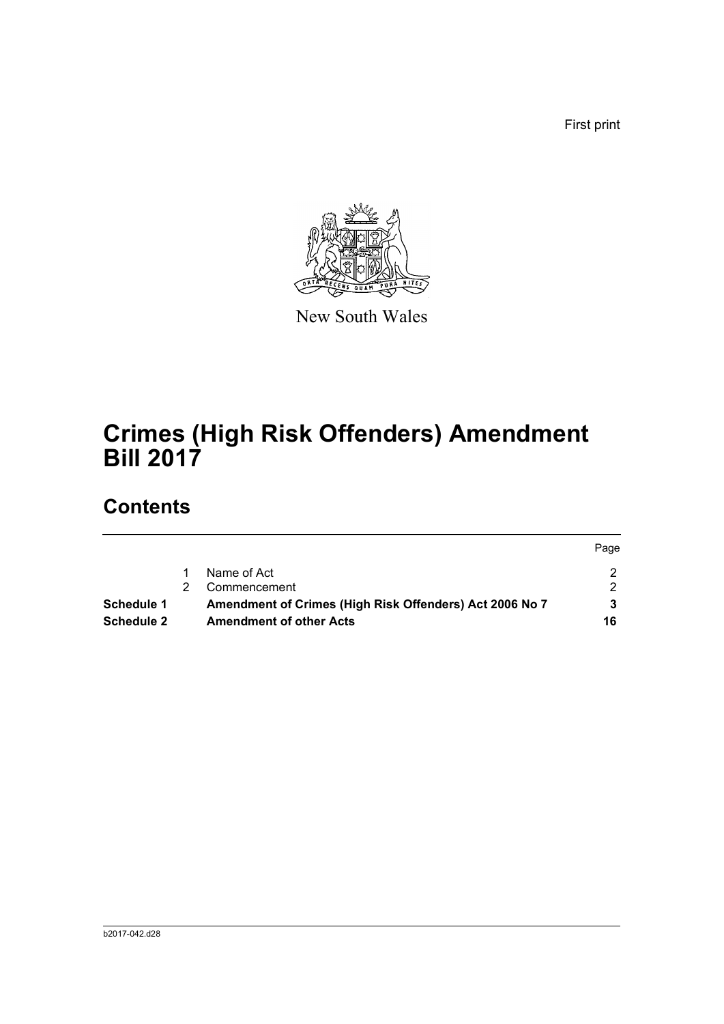First print



New South Wales

# **Crimes (High Risk Offenders) Amendment Bill 2017**

# **Contents**

|            |    |                                                         | Page |
|------------|----|---------------------------------------------------------|------|
|            |    | Name of Act                                             |      |
|            | 2. | Commencement                                            |      |
| Schedule 1 |    | Amendment of Crimes (High Risk Offenders) Act 2006 No 7 |      |
| Schedule 2 |    | <b>Amendment of other Acts</b>                          | 16   |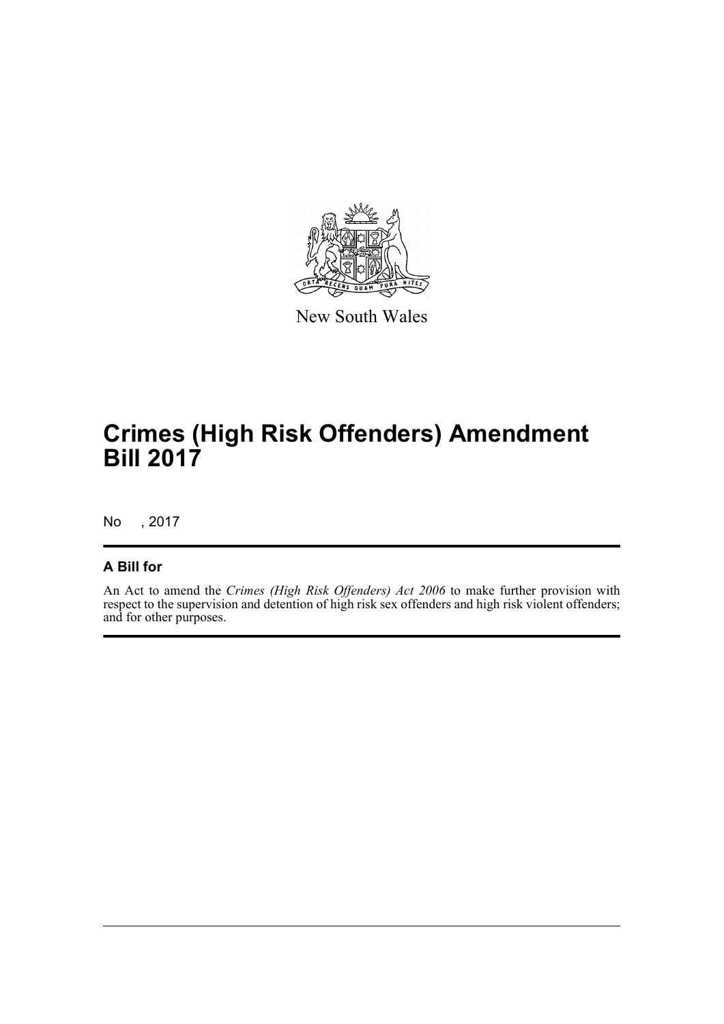

New South Wales

# **Crimes (High Risk Offenders) Amendment Bill 2017**

No , 2017

## **A Bill for**

An Act to amend the *Crimes (High Risk Offenders) Act 2006* to make further provision with respect to the supervision and detention of high risk sex offenders and high risk violent offenders; and for other purposes.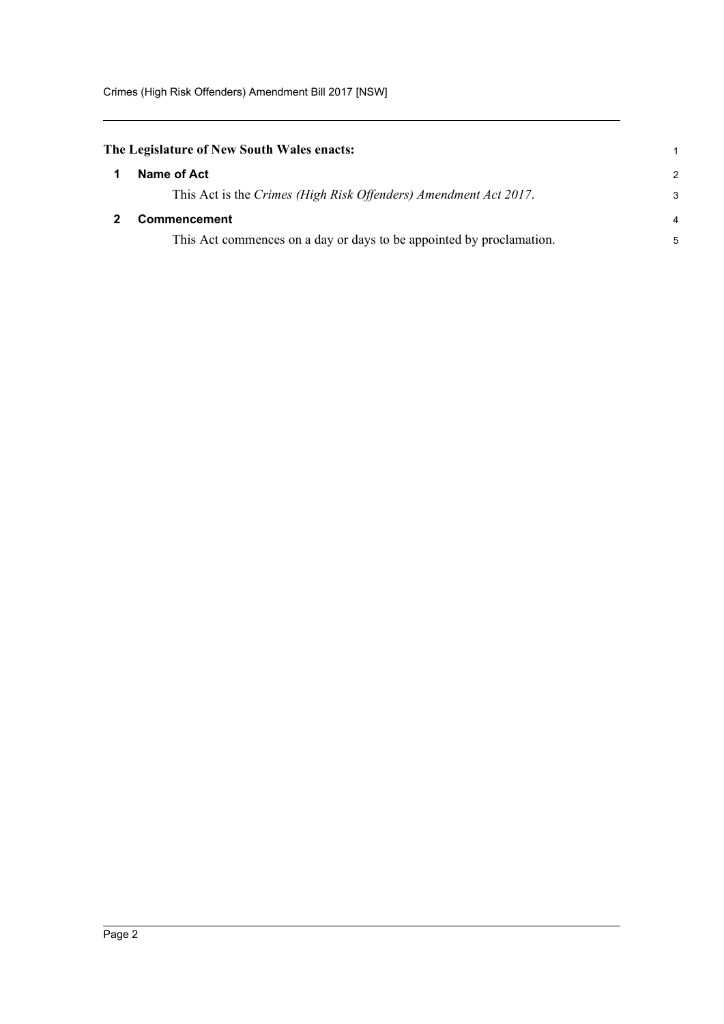<span id="page-6-0"></span>

|  | The Legislature of New South Wales enacts: |  |  |
|--|--------------------------------------------|--|--|
|  |                                            |  |  |

<span id="page-6-1"></span>

|   | Name of Act                                                          | 2              |
|---|----------------------------------------------------------------------|----------------|
|   | This Act is the Crimes (High Risk Offenders) Amendment Act 2017.     | 3              |
| 2 | <b>Commencement</b>                                                  | $\overline{4}$ |
|   | This Act commences on a day or days to be appointed by proclamation. | 5              |

1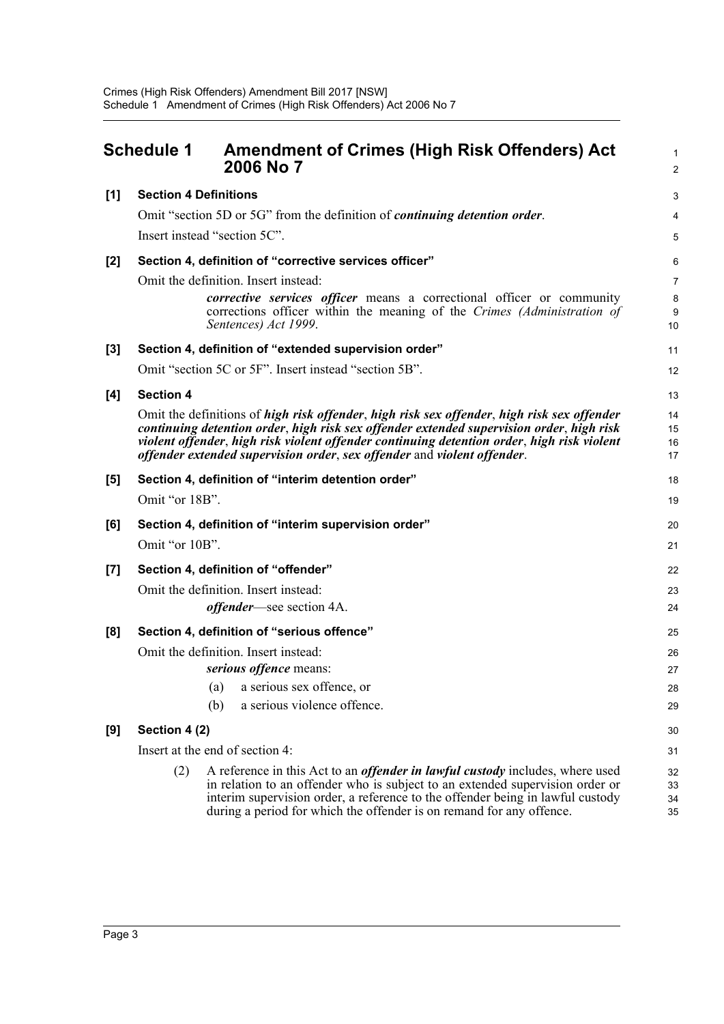<span id="page-7-0"></span>

|       | <b>Schedule 1</b>            | <b>Amendment of Crimes (High Risk Offenders) Act</b><br>2006 No 7                                                                                                                                                                                                                                                                                               | 1<br>2               |
|-------|------------------------------|-----------------------------------------------------------------------------------------------------------------------------------------------------------------------------------------------------------------------------------------------------------------------------------------------------------------------------------------------------------------|----------------------|
| [1]   | <b>Section 4 Definitions</b> |                                                                                                                                                                                                                                                                                                                                                                 | 3                    |
|       |                              | Omit "section 5D or 5G" from the definition of <i>continuing detention order</i> .                                                                                                                                                                                                                                                                              | 4                    |
|       |                              | Insert instead "section 5C".                                                                                                                                                                                                                                                                                                                                    | 5                    |
| [2]   |                              | Section 4, definition of "corrective services officer"                                                                                                                                                                                                                                                                                                          | 6                    |
|       |                              | Omit the definition. Insert instead:                                                                                                                                                                                                                                                                                                                            | $\overline{7}$       |
|       |                              | <i>corrective services officer</i> means a correctional officer or community<br>corrections officer within the meaning of the Crimes (Administration of<br>Sentences) Act 1999.                                                                                                                                                                                 | 8<br>9<br>10         |
| $[3]$ |                              | Section 4, definition of "extended supervision order"                                                                                                                                                                                                                                                                                                           | 11                   |
|       |                              | Omit "section 5C or 5F". Insert instead "section 5B".                                                                                                                                                                                                                                                                                                           | 12                   |
| [4]   | <b>Section 4</b>             |                                                                                                                                                                                                                                                                                                                                                                 | 13                   |
|       |                              | Omit the definitions of high risk offender, high risk sex offender, high risk sex offender<br>continuing detention order, high risk sex offender extended supervision order, high risk<br>violent offender, high risk violent offender continuing detention order, high risk violent<br>offender extended supervision order, sex offender and violent offender. | 14<br>15<br>16<br>17 |
| [5]   |                              | Section 4, definition of "interim detention order"                                                                                                                                                                                                                                                                                                              | 18                   |
|       | Omit "or 18B".               |                                                                                                                                                                                                                                                                                                                                                                 | 19                   |
| [6]   |                              | Section 4, definition of "interim supervision order"                                                                                                                                                                                                                                                                                                            | 20                   |
|       | Omit "or 10B".               |                                                                                                                                                                                                                                                                                                                                                                 | 21                   |
| [7]   |                              | Section 4, definition of "offender"                                                                                                                                                                                                                                                                                                                             | 22                   |
|       |                              | Omit the definition. Insert instead:                                                                                                                                                                                                                                                                                                                            | 23                   |
|       |                              | <i>offender</i> —see section 4A.                                                                                                                                                                                                                                                                                                                                | 24                   |
| [8]   |                              | Section 4, definition of "serious offence"                                                                                                                                                                                                                                                                                                                      | 25                   |
|       |                              | Omit the definition. Insert instead:                                                                                                                                                                                                                                                                                                                            | 26                   |
|       |                              | serious offence means:                                                                                                                                                                                                                                                                                                                                          | 27                   |
|       |                              | a serious sex offence, or<br>(a)                                                                                                                                                                                                                                                                                                                                | 28                   |
|       |                              | a serious violence offence.<br>(b)                                                                                                                                                                                                                                                                                                                              | 29                   |
| [9]   | Section 4 (2)                |                                                                                                                                                                                                                                                                                                                                                                 | 30                   |
|       |                              | Insert at the end of section 4:                                                                                                                                                                                                                                                                                                                                 | 31                   |
|       | (2)                          | A reference in this Act to an <i>offender in lawful custody</i> includes, where used<br>in relation to an offender who is subject to an extended supervision order or<br>interim supervision order, a reference to the offender being in lawful custody<br>during a period for which the offender is on remand for any offence.                                 | 32<br>33<br>34<br>35 |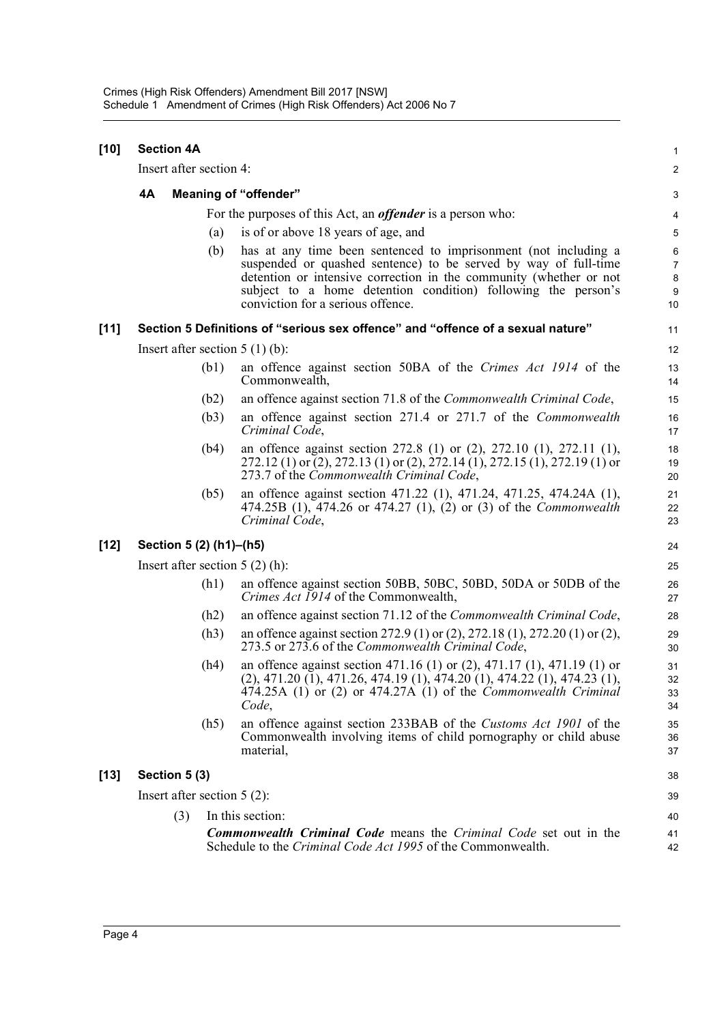| $[10]$ |    | <b>Section 4A</b>                |                                                                                                                                                                                                                                                                                                                | $\mathbf{1}$                        |
|--------|----|----------------------------------|----------------------------------------------------------------------------------------------------------------------------------------------------------------------------------------------------------------------------------------------------------------------------------------------------------------|-------------------------------------|
|        |    | Insert after section 4:          |                                                                                                                                                                                                                                                                                                                | $\overline{2}$                      |
|        | 4A |                                  | <b>Meaning of "offender"</b>                                                                                                                                                                                                                                                                                   | 3                                   |
|        |    |                                  | For the purposes of this Act, an <i>offender</i> is a person who:                                                                                                                                                                                                                                              | 4                                   |
|        |    | (a)                              | is of or above 18 years of age, and                                                                                                                                                                                                                                                                            | 5                                   |
|        |    | (b)                              | has at any time been sentenced to imprisonment (not including a<br>suspended or quashed sentence) to be served by way of full-time<br>detention or intensive correction in the community (whether or not<br>subject to a home detention condition) following the person's<br>conviction for a serious offence. | 6<br>$\overline{7}$<br>8<br>9<br>10 |
| [11]   |    |                                  | Section 5 Definitions of "serious sex offence" and "offence of a sexual nature"                                                                                                                                                                                                                                | 11                                  |
|        |    | Insert after section $5(1)(b)$ : |                                                                                                                                                                                                                                                                                                                | 12                                  |
|        |    | (b1)                             | an offence against section 50BA of the Crimes Act 1914 of the<br>Commonwealth,                                                                                                                                                                                                                                 | 13<br>14                            |
|        |    | (b2)                             | an offence against section 71.8 of the <i>Commonwealth Criminal Code</i> ,                                                                                                                                                                                                                                     | 15                                  |
|        |    | (b3)                             | an offence against section 271.4 or 271.7 of the Commonwealth<br>Criminal Code,                                                                                                                                                                                                                                | 16<br>17                            |
|        |    | (b4)                             | an offence against section 272.8 (1) or $(2)$ , 272.10 $(1)$ , 272.11 $(1)$ ,<br>272.12 (1) or (2), 272.13 (1) or (2), 272.14 (1), 272.15 (1), 272.19 (1) or<br>273.7 of the Commonwealth Criminal Code,                                                                                                       | 18<br>19<br>20                      |
|        |    | (b5)                             | an offence against section 471.22 (1), 471.24, 471.25, 474.24A (1),<br>474.25B (1), 474.26 or 474.27 (1), (2) or (3) of the <i>Commonwealth</i><br>Criminal Code,                                                                                                                                              | 21<br>22<br>23                      |
| $[12]$ |    | Section 5 (2) (h1)-(h5)          |                                                                                                                                                                                                                                                                                                                | 24                                  |
|        |    | Insert after section $5(2)$ (h): |                                                                                                                                                                                                                                                                                                                | 25                                  |
|        |    | (h1)                             | an offence against section 50BB, 50BC, 50BD, 50DA or 50DB of the<br>Crimes Act 1914 of the Commonwealth,                                                                                                                                                                                                       | 26<br>27                            |
|        |    | (h2)                             | an offence against section 71.12 of the <i>Commonwealth Criminal Code</i> ,                                                                                                                                                                                                                                    | 28                                  |
|        |    | (h3)                             | an offence against section 272.9 (1) or (2), 272.18 (1), 272.20 (1) or (2),<br>273.5 or 273.6 of the Commonwealth Criminal Code,                                                                                                                                                                               | 29<br>30                            |
|        |    | (h4)                             | an offence against section 471.16 (1) or (2), 471.17 (1), 471.19 (1) or<br>$(2), 471.20$ $(1), 471.26, 474.19$ $(1), 474.20$ $(1), 474.22$ $(1), 474.23$ $(1),$<br>474.25A (1) or (2) or 474.27A (1) of the <i>Commonwealth Criminal</i><br>Code,                                                              | 31<br>32<br>33<br>34                |
|        |    | (h5)                             | an offence against section 233BAB of the Customs Act 1901 of the<br>Commonwealth involving items of child pornography or child abuse<br>material,                                                                                                                                                              | 35<br>36<br>37                      |
| $[13]$ |    | Section 5 (3)                    |                                                                                                                                                                                                                                                                                                                | 38                                  |
|        |    | Insert after section $5(2)$ :    |                                                                                                                                                                                                                                                                                                                | 39                                  |
|        |    | (3)                              | In this section:                                                                                                                                                                                                                                                                                               | 40                                  |
|        |    |                                  | Commonwealth Criminal Code means the Criminal Code set out in the<br>Schedule to the Criminal Code Act 1995 of the Commonwealth.                                                                                                                                                                               | 41<br>42                            |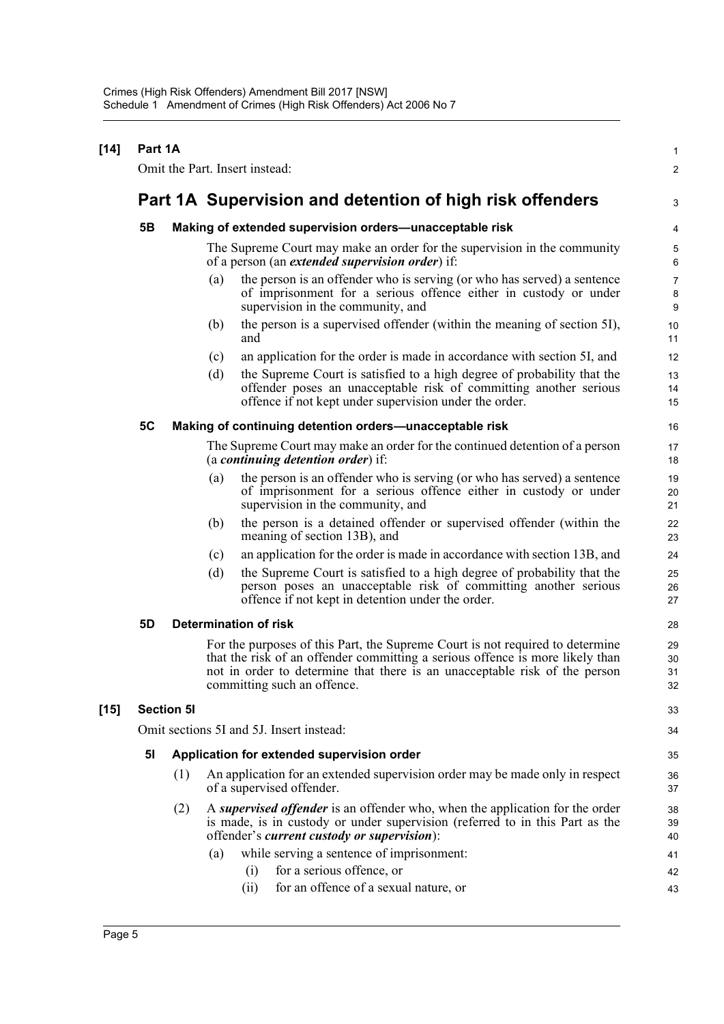#### **[14] Part 1A** Omit the Part. Insert instead: **Part 1A Supervision and detention of high risk offenders 5B Making of extended supervision orders—unacceptable risk** The Supreme Court may make an order for the supervision in the community of a person (an *extended supervision order*) if: (a) the person is an offender who is serving (or who has served) a sentence of imprisonment for a serious offence either in custody or under supervision in the community, and (b) the person is a supervised offender (within the meaning of section 5I), and (c) an application for the order is made in accordance with section 5I, and (d) the Supreme Court is satisfied to a high degree of probability that the offender poses an unacceptable risk of committing another serious offence if not kept under supervision under the order. **5C Making of continuing detention orders—unacceptable risk** The Supreme Court may make an order for the continued detention of a person (a *continuing detention order*) if: (a) the person is an offender who is serving (or who has served) a sentence of imprisonment for a serious offence either in custody or under supervision in the community, and (b) the person is a detained offender or supervised offender (within the meaning of section 13B), and (c) an application for the order is made in accordance with section 13B, and (d) the Supreme Court is satisfied to a high degree of probability that the person poses an unacceptable risk of committing another serious offence if not kept in detention under the order. **5D Determination of risk** For the purposes of this Part, the Supreme Court is not required to determine that the risk of an offender committing a serious offence is more likely than not in order to determine that there is an unacceptable risk of the person committing such an offence. **[15] Section 5I** Omit sections 5I and 5J. Insert instead: **5I Application for extended supervision order** (1) An application for an extended supervision order may be made only in respect of a supervised offender. (2) A *supervised offender* is an offender who, when the application for the order is made, is in custody or under supervision (referred to in this Part as the offender's *current custody or supervision*): (a) while serving a sentence of imprisonment: (i) for a serious offence, or (ii) for an offence of a sexual nature, or 1  $\mathfrak{p}$ 3 4 5 6 7 8 9 10 11 12 13 14 15 16 17 18 19 20 21  $22$ 23 24 25 26 27 28 29 30 31 32 33 34 35 36 37 38 39 40 41 42 43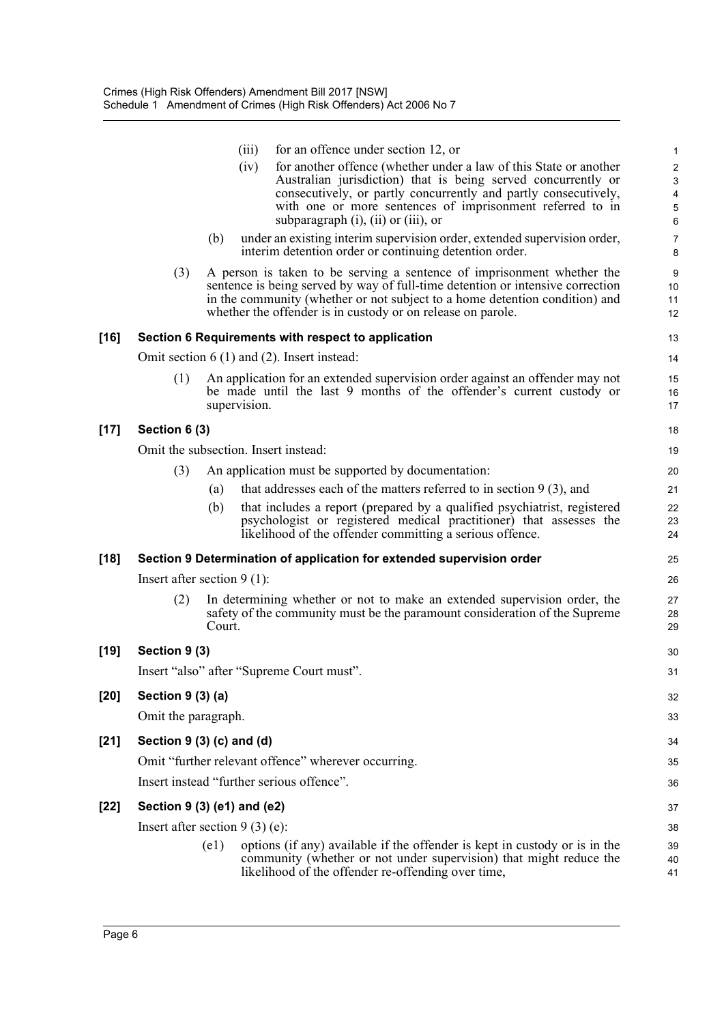|     | (iii)  | for an offence under section 12, or                                                                                                                                                                                                                                | $\mathbf{1}$                                                                                                                                                                                                                                                                                                                                                                                                                                                                                                                                                                                                                                                                                                                                                                                                                                                                                                                                                                                                                                                                                                                                                                                                                                                                                                                                                                                                                                                                                                                                                                                                                                                                                                                                                                                                                                  |
|-----|--------|--------------------------------------------------------------------------------------------------------------------------------------------------------------------------------------------------------------------------------------------------------------------|-----------------------------------------------------------------------------------------------------------------------------------------------------------------------------------------------------------------------------------------------------------------------------------------------------------------------------------------------------------------------------------------------------------------------------------------------------------------------------------------------------------------------------------------------------------------------------------------------------------------------------------------------------------------------------------------------------------------------------------------------------------------------------------------------------------------------------------------------------------------------------------------------------------------------------------------------------------------------------------------------------------------------------------------------------------------------------------------------------------------------------------------------------------------------------------------------------------------------------------------------------------------------------------------------------------------------------------------------------------------------------------------------------------------------------------------------------------------------------------------------------------------------------------------------------------------------------------------------------------------------------------------------------------------------------------------------------------------------------------------------------------------------------------------------------------------------------------------------|
|     | (iv)   | for another offence (whether under a law of this State or another<br>Australian jurisdiction) that is being served concurrently or<br>consecutively, or partly concurrently and partly consecutively,<br>with one or more sentences of imprisonment referred to in | $\overline{\mathbf{c}}$<br>$\ensuremath{\mathsf{3}}$<br>$\overline{\mathbf{4}}$<br>$\mathbf 5$<br>6                                                                                                                                                                                                                                                                                                                                                                                                                                                                                                                                                                                                                                                                                                                                                                                                                                                                                                                                                                                                                                                                                                                                                                                                                                                                                                                                                                                                                                                                                                                                                                                                                                                                                                                                           |
|     | (b)    |                                                                                                                                                                                                                                                                    | $\overline{7}$<br>8                                                                                                                                                                                                                                                                                                                                                                                                                                                                                                                                                                                                                                                                                                                                                                                                                                                                                                                                                                                                                                                                                                                                                                                                                                                                                                                                                                                                                                                                                                                                                                                                                                                                                                                                                                                                                           |
| (3) |        |                                                                                                                                                                                                                                                                    | 9<br>10<br>11<br>12                                                                                                                                                                                                                                                                                                                                                                                                                                                                                                                                                                                                                                                                                                                                                                                                                                                                                                                                                                                                                                                                                                                                                                                                                                                                                                                                                                                                                                                                                                                                                                                                                                                                                                                                                                                                                           |
|     |        |                                                                                                                                                                                                                                                                    | 13                                                                                                                                                                                                                                                                                                                                                                                                                                                                                                                                                                                                                                                                                                                                                                                                                                                                                                                                                                                                                                                                                                                                                                                                                                                                                                                                                                                                                                                                                                                                                                                                                                                                                                                                                                                                                                            |
|     |        |                                                                                                                                                                                                                                                                    | 14                                                                                                                                                                                                                                                                                                                                                                                                                                                                                                                                                                                                                                                                                                                                                                                                                                                                                                                                                                                                                                                                                                                                                                                                                                                                                                                                                                                                                                                                                                                                                                                                                                                                                                                                                                                                                                            |
| (1) |        |                                                                                                                                                                                                                                                                    | 15<br>16<br>17                                                                                                                                                                                                                                                                                                                                                                                                                                                                                                                                                                                                                                                                                                                                                                                                                                                                                                                                                                                                                                                                                                                                                                                                                                                                                                                                                                                                                                                                                                                                                                                                                                                                                                                                                                                                                                |
|     |        |                                                                                                                                                                                                                                                                    | 18                                                                                                                                                                                                                                                                                                                                                                                                                                                                                                                                                                                                                                                                                                                                                                                                                                                                                                                                                                                                                                                                                                                                                                                                                                                                                                                                                                                                                                                                                                                                                                                                                                                                                                                                                                                                                                            |
|     |        |                                                                                                                                                                                                                                                                    | 19                                                                                                                                                                                                                                                                                                                                                                                                                                                                                                                                                                                                                                                                                                                                                                                                                                                                                                                                                                                                                                                                                                                                                                                                                                                                                                                                                                                                                                                                                                                                                                                                                                                                                                                                                                                                                                            |
| (3) |        |                                                                                                                                                                                                                                                                    | 20                                                                                                                                                                                                                                                                                                                                                                                                                                                                                                                                                                                                                                                                                                                                                                                                                                                                                                                                                                                                                                                                                                                                                                                                                                                                                                                                                                                                                                                                                                                                                                                                                                                                                                                                                                                                                                            |
|     | (a)    |                                                                                                                                                                                                                                                                    | 21                                                                                                                                                                                                                                                                                                                                                                                                                                                                                                                                                                                                                                                                                                                                                                                                                                                                                                                                                                                                                                                                                                                                                                                                                                                                                                                                                                                                                                                                                                                                                                                                                                                                                                                                                                                                                                            |
|     | (b)    |                                                                                                                                                                                                                                                                    | 22<br>23<br>24                                                                                                                                                                                                                                                                                                                                                                                                                                                                                                                                                                                                                                                                                                                                                                                                                                                                                                                                                                                                                                                                                                                                                                                                                                                                                                                                                                                                                                                                                                                                                                                                                                                                                                                                                                                                                                |
|     |        |                                                                                                                                                                                                                                                                    | 25                                                                                                                                                                                                                                                                                                                                                                                                                                                                                                                                                                                                                                                                                                                                                                                                                                                                                                                                                                                                                                                                                                                                                                                                                                                                                                                                                                                                                                                                                                                                                                                                                                                                                                                                                                                                                                            |
|     |        |                                                                                                                                                                                                                                                                    | 26                                                                                                                                                                                                                                                                                                                                                                                                                                                                                                                                                                                                                                                                                                                                                                                                                                                                                                                                                                                                                                                                                                                                                                                                                                                                                                                                                                                                                                                                                                                                                                                                                                                                                                                                                                                                                                            |
| (2) | Court. |                                                                                                                                                                                                                                                                    | 27<br>28<br>29                                                                                                                                                                                                                                                                                                                                                                                                                                                                                                                                                                                                                                                                                                                                                                                                                                                                                                                                                                                                                                                                                                                                                                                                                                                                                                                                                                                                                                                                                                                                                                                                                                                                                                                                                                                                                                |
|     |        |                                                                                                                                                                                                                                                                    | 30                                                                                                                                                                                                                                                                                                                                                                                                                                                                                                                                                                                                                                                                                                                                                                                                                                                                                                                                                                                                                                                                                                                                                                                                                                                                                                                                                                                                                                                                                                                                                                                                                                                                                                                                                                                                                                            |
|     |        |                                                                                                                                                                                                                                                                    | 31                                                                                                                                                                                                                                                                                                                                                                                                                                                                                                                                                                                                                                                                                                                                                                                                                                                                                                                                                                                                                                                                                                                                                                                                                                                                                                                                                                                                                                                                                                                                                                                                                                                                                                                                                                                                                                            |
|     |        |                                                                                                                                                                                                                                                                    | 32                                                                                                                                                                                                                                                                                                                                                                                                                                                                                                                                                                                                                                                                                                                                                                                                                                                                                                                                                                                                                                                                                                                                                                                                                                                                                                                                                                                                                                                                                                                                                                                                                                                                                                                                                                                                                                            |
|     |        |                                                                                                                                                                                                                                                                    | 33                                                                                                                                                                                                                                                                                                                                                                                                                                                                                                                                                                                                                                                                                                                                                                                                                                                                                                                                                                                                                                                                                                                                                                                                                                                                                                                                                                                                                                                                                                                                                                                                                                                                                                                                                                                                                                            |
|     |        |                                                                                                                                                                                                                                                                    | 34                                                                                                                                                                                                                                                                                                                                                                                                                                                                                                                                                                                                                                                                                                                                                                                                                                                                                                                                                                                                                                                                                                                                                                                                                                                                                                                                                                                                                                                                                                                                                                                                                                                                                                                                                                                                                                            |
|     |        |                                                                                                                                                                                                                                                                    | 35                                                                                                                                                                                                                                                                                                                                                                                                                                                                                                                                                                                                                                                                                                                                                                                                                                                                                                                                                                                                                                                                                                                                                                                                                                                                                                                                                                                                                                                                                                                                                                                                                                                                                                                                                                                                                                            |
|     |        |                                                                                                                                                                                                                                                                    | 36                                                                                                                                                                                                                                                                                                                                                                                                                                                                                                                                                                                                                                                                                                                                                                                                                                                                                                                                                                                                                                                                                                                                                                                                                                                                                                                                                                                                                                                                                                                                                                                                                                                                                                                                                                                                                                            |
|     |        |                                                                                                                                                                                                                                                                    | 37                                                                                                                                                                                                                                                                                                                                                                                                                                                                                                                                                                                                                                                                                                                                                                                                                                                                                                                                                                                                                                                                                                                                                                                                                                                                                                                                                                                                                                                                                                                                                                                                                                                                                                                                                                                                                                            |
|     |        |                                                                                                                                                                                                                                                                    | 38                                                                                                                                                                                                                                                                                                                                                                                                                                                                                                                                                                                                                                                                                                                                                                                                                                                                                                                                                                                                                                                                                                                                                                                                                                                                                                                                                                                                                                                                                                                                                                                                                                                                                                                                                                                                                                            |
|     | (e1)   |                                                                                                                                                                                                                                                                    | 39<br>40                                                                                                                                                                                                                                                                                                                                                                                                                                                                                                                                                                                                                                                                                                                                                                                                                                                                                                                                                                                                                                                                                                                                                                                                                                                                                                                                                                                                                                                                                                                                                                                                                                                                                                                                                                                                                                      |
|     |        | Section 6 (3)<br>Section 9 (3)<br>Section 9 (3) (a)<br>Omit the paragraph.                                                                                                                                                                                         | subparagraph $(i)$ , $(ii)$ or $(iii)$ , or<br>under an existing interim supervision order, extended supervision order,<br>interim detention order or continuing detention order.<br>A person is taken to be serving a sentence of imprisonment whether the<br>sentence is being served by way of full-time detention or intensive correction<br>in the community (whether or not subject to a home detention condition) and<br>whether the offender is in custody or on release on parole.<br>Section 6 Requirements with respect to application<br>Omit section $6(1)$ and $(2)$ . Insert instead:<br>An application for an extended supervision order against an offender may not<br>be made until the last 9 months of the offender's current custody or<br>supervision.<br>Omit the subsection. Insert instead:<br>An application must be supported by documentation:<br>that addresses each of the matters referred to in section $9(3)$ , and<br>that includes a report (prepared by a qualified psychiatrist, registered<br>psychologist or registered medical practitioner) that assesses the<br>likelihood of the offender committing a serious offence.<br>Section 9 Determination of application for extended supervision order<br>Insert after section $9(1)$ :<br>In determining whether or not to make an extended supervision order, the<br>safety of the community must be the paramount consideration of the Supreme<br>Insert "also" after "Supreme Court must".<br>Section $9(3)(c)$ and $(d)$<br>Omit "further relevant offence" wherever occurring.<br>Insert instead "further serious offence".<br>Section 9 (3) (e1) and (e2)<br>Insert after section $9(3)$ (e):<br>options (if any) available if the offender is kept in custody or is in the<br>community (whether or not under supervision) that might reduce the |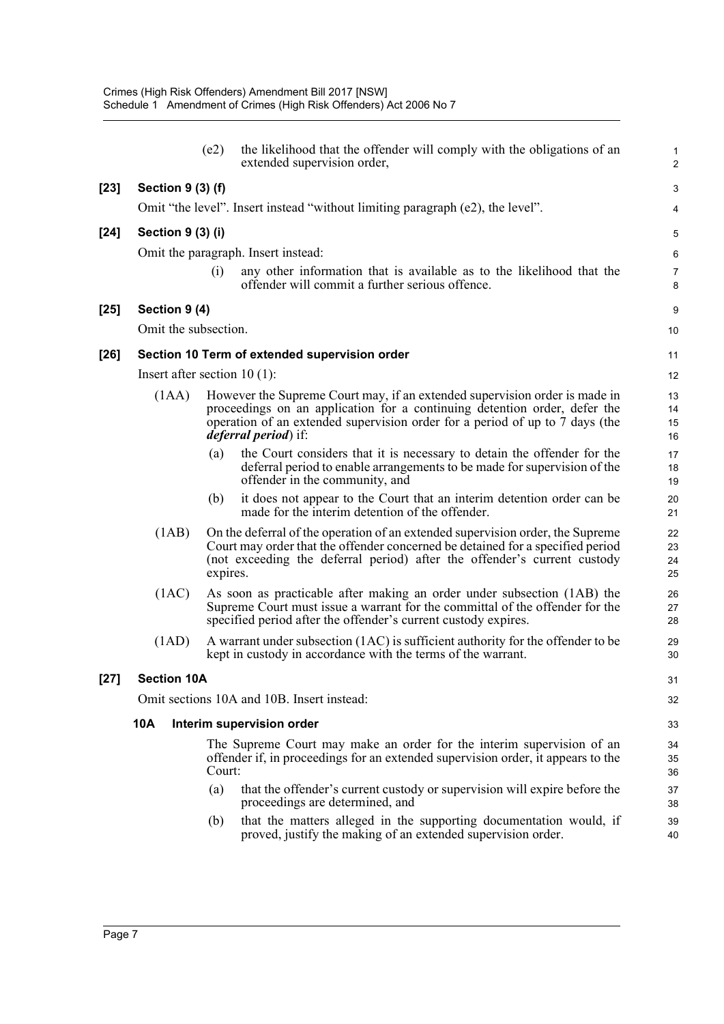|        |                                | (e2)     | the likelihood that the offender will comply with the obligations of an<br>extended supervision order,                                                                                                                                                                  | $\mathbf{1}$<br>$\overline{2}$ |
|--------|--------------------------------|----------|-------------------------------------------------------------------------------------------------------------------------------------------------------------------------------------------------------------------------------------------------------------------------|--------------------------------|
| $[23]$ | Section 9 (3) (f)              |          |                                                                                                                                                                                                                                                                         | 3                              |
|        |                                |          | Omit "the level". Insert instead "without limiting paragraph (e2), the level".                                                                                                                                                                                          | 4                              |
| $[24]$ | Section 9 (3) (i)              |          |                                                                                                                                                                                                                                                                         | 5                              |
|        |                                |          | Omit the paragraph. Insert instead:                                                                                                                                                                                                                                     | 6                              |
|        |                                | (i)      | any other information that is available as to the likelihood that the<br>offender will commit a further serious offence.                                                                                                                                                | $\overline{7}$<br>8            |
| $[25]$ | Section 9 (4)                  |          |                                                                                                                                                                                                                                                                         | 9                              |
|        | Omit the subsection.           |          |                                                                                                                                                                                                                                                                         | 10                             |
| $[26]$ |                                |          | Section 10 Term of extended supervision order                                                                                                                                                                                                                           | 11                             |
|        | Insert after section $10(1)$ : |          |                                                                                                                                                                                                                                                                         | 12                             |
|        | (IAA)                          |          | However the Supreme Court may, if an extended supervision order is made in<br>proceedings on an application for a continuing detention order, defer the<br>operation of an extended supervision order for a period of up to 7 days (the<br><i>deferral period</i> ) if: | 13<br>14<br>15<br>16           |
|        |                                | (a)      | the Court considers that it is necessary to detain the offender for the<br>deferral period to enable arrangements to be made for supervision of the<br>offender in the community, and                                                                                   | 17<br>18<br>19                 |
|        |                                | (b)      | it does not appear to the Court that an interim detention order can be<br>made for the interim detention of the offender.                                                                                                                                               | 20<br>21                       |
|        | (1AB)                          | expires. | On the deferral of the operation of an extended supervision order, the Supreme<br>Court may order that the offender concerned be detained for a specified period<br>(not exceeding the deferral period) after the offender's current custody                            | 22<br>23<br>24<br>25           |
|        | (1AC)                          |          | As soon as practicable after making an order under subsection (1AB) the<br>Supreme Court must issue a warrant for the committal of the offender for the<br>specified period after the offender's current custody expires.                                               | 26<br>27<br>28                 |
|        | (1AD)                          |          | A warrant under subsection (1AC) is sufficient authority for the offender to be<br>kept in custody in accordance with the terms of the warrant.                                                                                                                         | 29<br>30                       |
| [27]   | <b>Section 10A</b>             |          |                                                                                                                                                                                                                                                                         | 31                             |
|        |                                |          | Omit sections 10A and 10B. Insert instead:                                                                                                                                                                                                                              | 32                             |
|        | <b>10A</b>                     |          | Interim supervision order                                                                                                                                                                                                                                               | 33                             |
|        |                                | Court:   | The Supreme Court may make an order for the interim supervision of an<br>offender if, in proceedings for an extended supervision order, it appears to the                                                                                                               | 34<br>35<br>36                 |
|        |                                | (a)      | that the offender's current custody or supervision will expire before the<br>proceedings are determined, and                                                                                                                                                            | 37<br>38                       |
|        |                                | (b)      | that the matters alleged in the supporting documentation would, if<br>proved, justify the making of an extended supervision order.                                                                                                                                      | 39<br>40                       |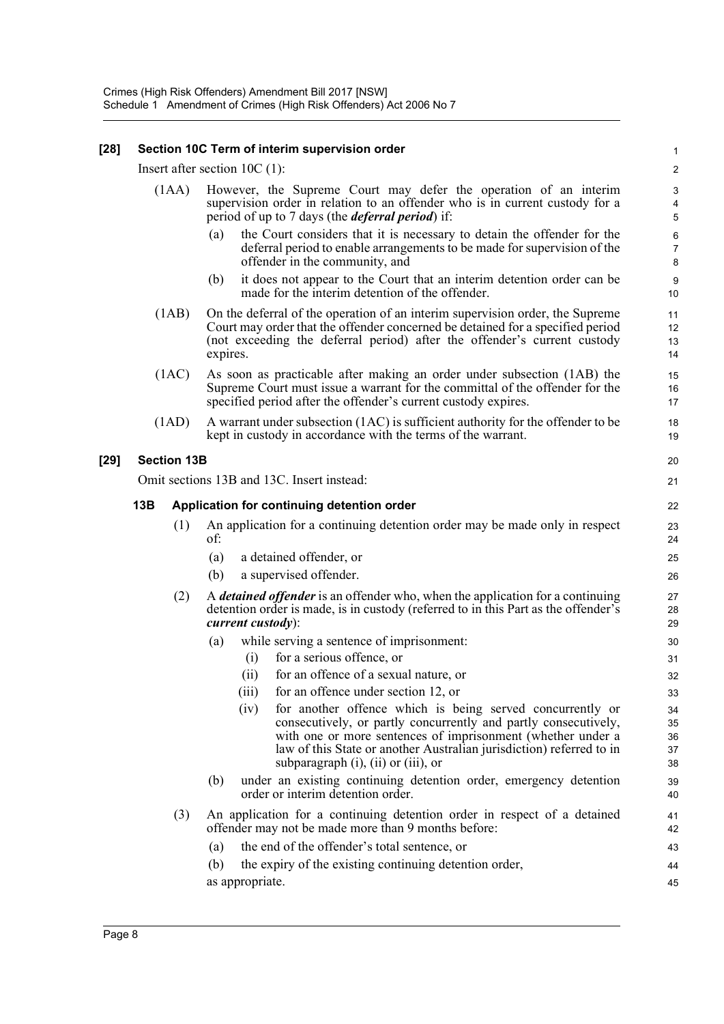### **[28] Section 10C Term of interim supervision order**

Insert after section 10C (1):

| (1AA) However, the Supreme Court may defer the operation of an interim       |
|------------------------------------------------------------------------------|
| supervision order in relation to an offender who is in current custody for a |
| period of up to 7 days (the <i>deferral period</i> ) if:                     |

(a) the Court considers that it is necessary to detain the offender for the deferral period to enable arrangements to be made for supervision of the offender in the community, and

- (b) it does not appear to the Court that an interim detention order can be made for the interim detention of the offender.
- (1AB) On the deferral of the operation of an interim supervision order, the Supreme Court may order that the offender concerned be detained for a specified period (not exceeding the deferral period) after the offender's current custody expires.
- (1AC) As soon as practicable after making an order under subsection (1AB) the Supreme Court must issue a warrant for the committal of the offender for the specified period after the offender's current custody expires.
- (1AD) A warrant under subsection (1AC) is sufficient authority for the offender to be kept in custody in accordance with the terms of the warrant.

### **[29] Section 13B**

Omit sections 13B and 13C. Insert instead:

### **13B Application for continuing detention order**

- (1) An application for a continuing detention order may be made only in respect of:
	- (a) a detained offender, or
	- (b) a supervised offender.
- (2) A *detained offender* is an offender who, when the application for a continuing detention order is made, is in custody (referred to in this Part as the offender's *current custody*):
	- (a) while serving a sentence of imprisonment:
		- (i) for a serious offence, or
		- (ii) for an offence of a sexual nature, or
		- (iii) for an offence under section 12, or
		- (iv) for another offence which is being served concurrently or consecutively, or partly concurrently and partly consecutively, with one or more sentences of imprisonment (whether under a law of this State or another Australian jurisdiction) referred to in subparagraph (i), (ii) or (iii), or
	- (b) under an existing continuing detention order, emergency detention order or interim detention order.
- (3) An application for a continuing detention order in respect of a detained offender may not be made more than 9 months before:
	- (a) the end of the offender's total sentence, or
	- (b) the expiry of the existing continuing detention order, as appropriate. 44 45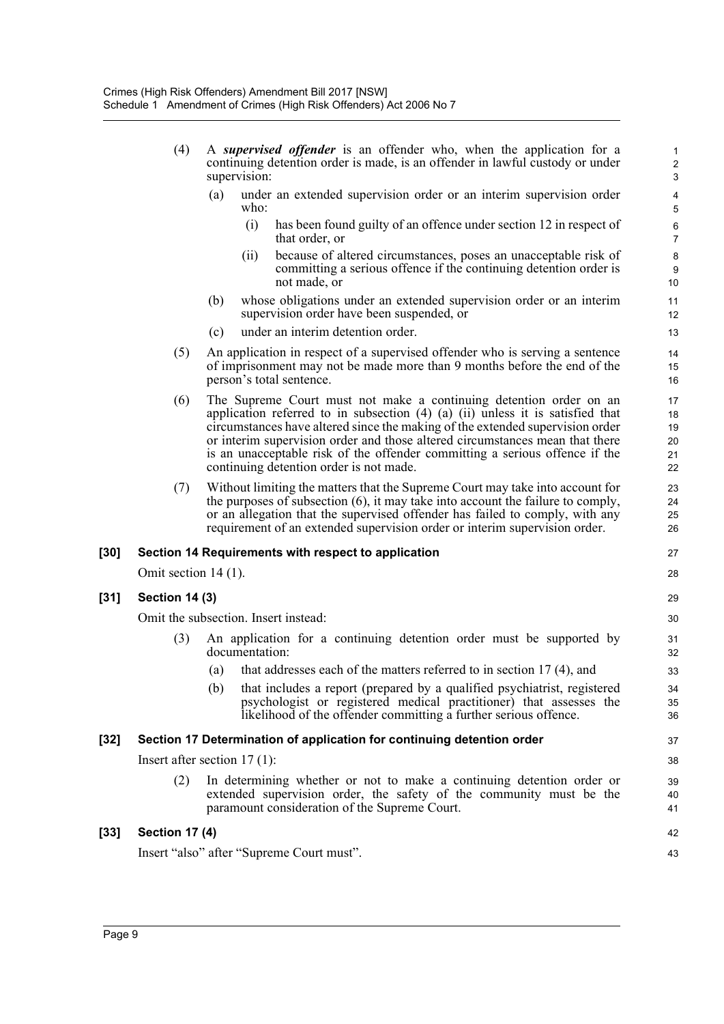| (4) |     | A supervised offender is an offender who, when the application for a<br>continuing detention order is made, is an offender in lawful custody or under<br>supervision: |  |
|-----|-----|-----------------------------------------------------------------------------------------------------------------------------------------------------------------------|--|
|     | (a) | under an extended supervision order or an interim supervision order<br>who:                                                                                           |  |

(i) has been found guilty of an offence under section 12 in respect of that order, or

- (ii) because of altered circumstances, poses an unacceptable risk of committing a serious offence if the continuing detention order is not made, or
- (b) whose obligations under an extended supervision order or an interim supervision order have been suspended, or
- (c) under an interim detention order.
- (5) An application in respect of a supervised offender who is serving a sentence of imprisonment may not be made more than 9 months before the end of the person's total sentence.
- (6) The Supreme Court must not make a continuing detention order on an application referred to in subsection (4) (a) (ii) unless it is satisfied that circumstances have altered since the making of the extended supervision order or interim supervision order and those altered circumstances mean that there is an unacceptable risk of the offender committing a serious offence if the continuing detention order is not made.
- (7) Without limiting the matters that the Supreme Court may take into account for the purposes of subsection (6), it may take into account the failure to comply, or an allegation that the supervised offender has failed to comply, with any requirement of an extended supervision order or interim supervision order.

## **[30] Section 14 Requirements with respect to application**

Omit section 14 (1).

## **[31] Section 14 (3)**

Omit the subsection. Insert instead:

- (3) An application for a continuing detention order must be supported by documentation:
	- (a) that addresses each of the matters referred to in section 17 (4), and
	- (b) that includes a report (prepared by a qualified psychiatrist, registered psychologist or registered medical practitioner) that assesses the likelihood of the offender committing a further serious offence.

## **[32] Section 17 Determination of application for continuing detention order**

Insert after section 17 (1):

(2) In determining whether or not to make a continuing detention order or extended supervision order, the safety of the community must be the paramount consideration of the Supreme Court.

| [33] | Section 17 (4)                            | 42 |
|------|-------------------------------------------|----|
|      | Insert "also" after "Supreme Court must". | 43 |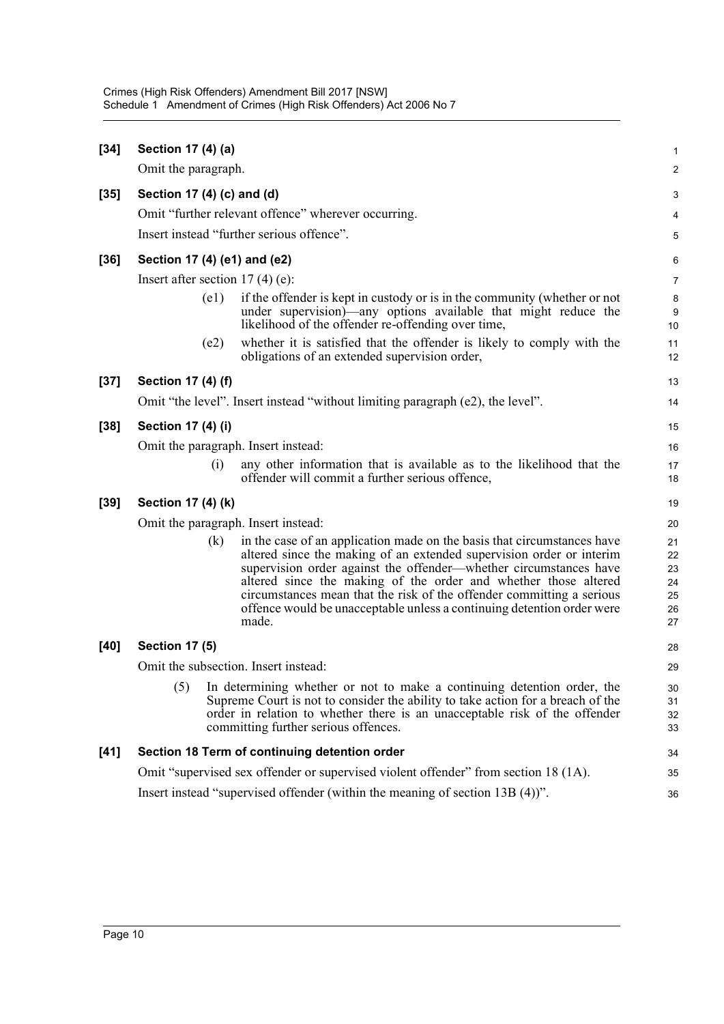| $[34]$ | Section 17 (4) (a)                  |                                                                                                                                                                                                                                                                                                                                                                                                                                                     | 1                                      |
|--------|-------------------------------------|-----------------------------------------------------------------------------------------------------------------------------------------------------------------------------------------------------------------------------------------------------------------------------------------------------------------------------------------------------------------------------------------------------------------------------------------------------|----------------------------------------|
|        | Omit the paragraph.                 |                                                                                                                                                                                                                                                                                                                                                                                                                                                     | $\overline{\mathbf{c}}$                |
| $[35]$ | Section 17 (4) (c) and (d)          |                                                                                                                                                                                                                                                                                                                                                                                                                                                     | 3                                      |
|        |                                     | Omit "further relevant offence" wherever occurring.                                                                                                                                                                                                                                                                                                                                                                                                 | 4                                      |
|        |                                     | Insert instead "further serious offence".                                                                                                                                                                                                                                                                                                                                                                                                           | 5                                      |
| $[36]$ | Section 17 (4) (e1) and (e2)        |                                                                                                                                                                                                                                                                                                                                                                                                                                                     | 6                                      |
|        | Insert after section $17(4)$ (e):   |                                                                                                                                                                                                                                                                                                                                                                                                                                                     | 7                                      |
|        | (e1)                                | if the offender is kept in custody or is in the community (whether or not<br>under supervision)—any options available that might reduce the<br>likelihood of the offender re-offending over time,                                                                                                                                                                                                                                                   | 8<br>9<br>10                           |
|        | (e2)                                | whether it is satisfied that the offender is likely to comply with the<br>obligations of an extended supervision order,                                                                                                                                                                                                                                                                                                                             | 11<br>12                               |
| $[37]$ | Section 17 (4) (f)                  |                                                                                                                                                                                                                                                                                                                                                                                                                                                     | 13                                     |
|        |                                     | Omit "the level". Insert instead "without limiting paragraph (e2), the level".                                                                                                                                                                                                                                                                                                                                                                      | 14                                     |
| $[38]$ | Section 17 (4) (i)                  |                                                                                                                                                                                                                                                                                                                                                                                                                                                     | 15                                     |
|        | Omit the paragraph. Insert instead: |                                                                                                                                                                                                                                                                                                                                                                                                                                                     | 16                                     |
|        | (i)                                 | any other information that is available as to the likelihood that the<br>offender will commit a further serious offence,                                                                                                                                                                                                                                                                                                                            | 17<br>18                               |
| $[39]$ | Section 17 (4) (k)                  |                                                                                                                                                                                                                                                                                                                                                                                                                                                     | 19                                     |
|        | Omit the paragraph. Insert instead: |                                                                                                                                                                                                                                                                                                                                                                                                                                                     | 20                                     |
|        | (k)                                 | in the case of an application made on the basis that circumstances have<br>altered since the making of an extended supervision order or interim<br>supervision order against the offender-whether circumstances have<br>altered since the making of the order and whether those altered<br>circumstances mean that the risk of the offender committing a serious<br>offence would be unacceptable unless a continuing detention order were<br>made. | 21<br>22<br>23<br>24<br>25<br>26<br>27 |
| [40]   | <b>Section 17 (5)</b>               |                                                                                                                                                                                                                                                                                                                                                                                                                                                     | 28                                     |
|        |                                     | Omit the subsection. Insert instead:                                                                                                                                                                                                                                                                                                                                                                                                                | 29                                     |
|        | (5)                                 | In determining whether or not to make a continuing detention order, the<br>Supreme Court is not to consider the ability to take action for a breach of the<br>order in relation to whether there is an unacceptable risk of the offender<br>committing further serious offences.                                                                                                                                                                    | 30<br>31<br>32<br>33                   |
| $[41]$ |                                     | Section 18 Term of continuing detention order                                                                                                                                                                                                                                                                                                                                                                                                       | 34                                     |
|        |                                     | Omit "supervised sex offender or supervised violent offender" from section 18 (1A).                                                                                                                                                                                                                                                                                                                                                                 | 35                                     |
|        |                                     | Insert instead "supervised offender (within the meaning of section 13B (4))".                                                                                                                                                                                                                                                                                                                                                                       | 36                                     |
|        |                                     |                                                                                                                                                                                                                                                                                                                                                                                                                                                     |                                        |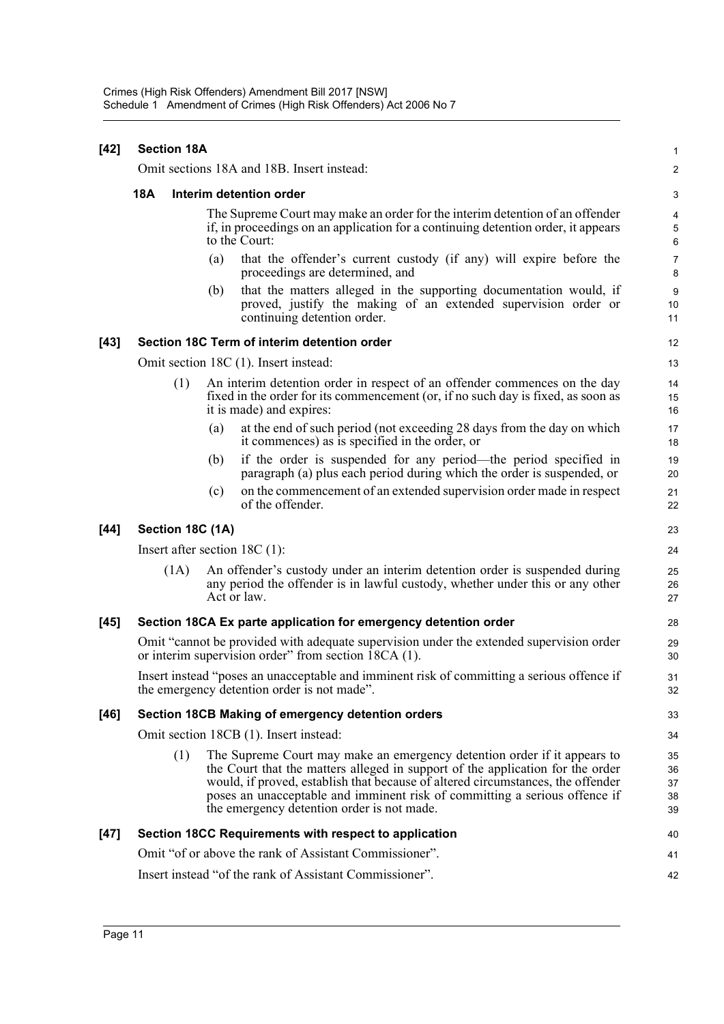|            |     |                                                                                                                                                                     | 1                                                                                                                                                                                                                                                                                                                                                                                                                                                                                                                                                                                                                                                                                                                                                                                                                                                                                                                                                                                                                                                                                                                                                                                                                                                                                                                                                                                                                                                                                                                                                                                                                                                                                                                                                                                                                               |
|------------|-----|---------------------------------------------------------------------------------------------------------------------------------------------------------------------|---------------------------------------------------------------------------------------------------------------------------------------------------------------------------------------------------------------------------------------------------------------------------------------------------------------------------------------------------------------------------------------------------------------------------------------------------------------------------------------------------------------------------------------------------------------------------------------------------------------------------------------------------------------------------------------------------------------------------------------------------------------------------------------------------------------------------------------------------------------------------------------------------------------------------------------------------------------------------------------------------------------------------------------------------------------------------------------------------------------------------------------------------------------------------------------------------------------------------------------------------------------------------------------------------------------------------------------------------------------------------------------------------------------------------------------------------------------------------------------------------------------------------------------------------------------------------------------------------------------------------------------------------------------------------------------------------------------------------------------------------------------------------------------------------------------------------------|
|            |     |                                                                                                                                                                     | 2                                                                                                                                                                                                                                                                                                                                                                                                                                                                                                                                                                                                                                                                                                                                                                                                                                                                                                                                                                                                                                                                                                                                                                                                                                                                                                                                                                                                                                                                                                                                                                                                                                                                                                                                                                                                                               |
| <b>18A</b> |     |                                                                                                                                                                     | 3                                                                                                                                                                                                                                                                                                                                                                                                                                                                                                                                                                                                                                                                                                                                                                                                                                                                                                                                                                                                                                                                                                                                                                                                                                                                                                                                                                                                                                                                                                                                                                                                                                                                                                                                                                                                                               |
|            |     |                                                                                                                                                                     | $\overline{4}$<br>$\,$ 5 $\,$<br>6                                                                                                                                                                                                                                                                                                                                                                                                                                                                                                                                                                                                                                                                                                                                                                                                                                                                                                                                                                                                                                                                                                                                                                                                                                                                                                                                                                                                                                                                                                                                                                                                                                                                                                                                                                                              |
|            | (a) | that the offender's current custody (if any) will expire before the<br>proceedings are determined, and                                                              | 7<br>8                                                                                                                                                                                                                                                                                                                                                                                                                                                                                                                                                                                                                                                                                                                                                                                                                                                                                                                                                                                                                                                                                                                                                                                                                                                                                                                                                                                                                                                                                                                                                                                                                                                                                                                                                                                                                          |
|            | (b) | that the matters alleged in the supporting documentation would, if<br>proved, justify the making of an extended supervision order or<br>continuing detention order. | $\boldsymbol{9}$<br>10<br>11                                                                                                                                                                                                                                                                                                                                                                                                                                                                                                                                                                                                                                                                                                                                                                                                                                                                                                                                                                                                                                                                                                                                                                                                                                                                                                                                                                                                                                                                                                                                                                                                                                                                                                                                                                                                    |
|            |     |                                                                                                                                                                     | 12                                                                                                                                                                                                                                                                                                                                                                                                                                                                                                                                                                                                                                                                                                                                                                                                                                                                                                                                                                                                                                                                                                                                                                                                                                                                                                                                                                                                                                                                                                                                                                                                                                                                                                                                                                                                                              |
|            |     |                                                                                                                                                                     | 13                                                                                                                                                                                                                                                                                                                                                                                                                                                                                                                                                                                                                                                                                                                                                                                                                                                                                                                                                                                                                                                                                                                                                                                                                                                                                                                                                                                                                                                                                                                                                                                                                                                                                                                                                                                                                              |
|            |     |                                                                                                                                                                     | 14<br>15<br>16                                                                                                                                                                                                                                                                                                                                                                                                                                                                                                                                                                                                                                                                                                                                                                                                                                                                                                                                                                                                                                                                                                                                                                                                                                                                                                                                                                                                                                                                                                                                                                                                                                                                                                                                                                                                                  |
|            | (a) | at the end of such period (not exceeding 28 days from the day on which<br>it commences) as is specified in the order, or                                            | 17<br>18                                                                                                                                                                                                                                                                                                                                                                                                                                                                                                                                                                                                                                                                                                                                                                                                                                                                                                                                                                                                                                                                                                                                                                                                                                                                                                                                                                                                                                                                                                                                                                                                                                                                                                                                                                                                                        |
|            | (b) | if the order is suspended for any period—the period specified in<br>paragraph (a) plus each period during which the order is suspended, or                          | 19<br>20                                                                                                                                                                                                                                                                                                                                                                                                                                                                                                                                                                                                                                                                                                                                                                                                                                                                                                                                                                                                                                                                                                                                                                                                                                                                                                                                                                                                                                                                                                                                                                                                                                                                                                                                                                                                                        |
|            | (c) | on the commencement of an extended supervision order made in respect<br>of the offender.                                                                            | 21<br>22                                                                                                                                                                                                                                                                                                                                                                                                                                                                                                                                                                                                                                                                                                                                                                                                                                                                                                                                                                                                                                                                                                                                                                                                                                                                                                                                                                                                                                                                                                                                                                                                                                                                                                                                                                                                                        |
|            |     |                                                                                                                                                                     | 23                                                                                                                                                                                                                                                                                                                                                                                                                                                                                                                                                                                                                                                                                                                                                                                                                                                                                                                                                                                                                                                                                                                                                                                                                                                                                                                                                                                                                                                                                                                                                                                                                                                                                                                                                                                                                              |
|            |     |                                                                                                                                                                     | 24                                                                                                                                                                                                                                                                                                                                                                                                                                                                                                                                                                                                                                                                                                                                                                                                                                                                                                                                                                                                                                                                                                                                                                                                                                                                                                                                                                                                                                                                                                                                                                                                                                                                                                                                                                                                                              |
|            |     |                                                                                                                                                                     | 25<br>26<br>27                                                                                                                                                                                                                                                                                                                                                                                                                                                                                                                                                                                                                                                                                                                                                                                                                                                                                                                                                                                                                                                                                                                                                                                                                                                                                                                                                                                                                                                                                                                                                                                                                                                                                                                                                                                                                  |
|            |     |                                                                                                                                                                     | 28                                                                                                                                                                                                                                                                                                                                                                                                                                                                                                                                                                                                                                                                                                                                                                                                                                                                                                                                                                                                                                                                                                                                                                                                                                                                                                                                                                                                                                                                                                                                                                                                                                                                                                                                                                                                                              |
|            |     |                                                                                                                                                                     | 29<br>30                                                                                                                                                                                                                                                                                                                                                                                                                                                                                                                                                                                                                                                                                                                                                                                                                                                                                                                                                                                                                                                                                                                                                                                                                                                                                                                                                                                                                                                                                                                                                                                                                                                                                                                                                                                                                        |
|            |     |                                                                                                                                                                     | 31<br>32                                                                                                                                                                                                                                                                                                                                                                                                                                                                                                                                                                                                                                                                                                                                                                                                                                                                                                                                                                                                                                                                                                                                                                                                                                                                                                                                                                                                                                                                                                                                                                                                                                                                                                                                                                                                                        |
|            |     |                                                                                                                                                                     | 33                                                                                                                                                                                                                                                                                                                                                                                                                                                                                                                                                                                                                                                                                                                                                                                                                                                                                                                                                                                                                                                                                                                                                                                                                                                                                                                                                                                                                                                                                                                                                                                                                                                                                                                                                                                                                              |
|            |     |                                                                                                                                                                     | 34                                                                                                                                                                                                                                                                                                                                                                                                                                                                                                                                                                                                                                                                                                                                                                                                                                                                                                                                                                                                                                                                                                                                                                                                                                                                                                                                                                                                                                                                                                                                                                                                                                                                                                                                                                                                                              |
|            |     |                                                                                                                                                                     | 35<br>36<br>37<br>38<br>39                                                                                                                                                                                                                                                                                                                                                                                                                                                                                                                                                                                                                                                                                                                                                                                                                                                                                                                                                                                                                                                                                                                                                                                                                                                                                                                                                                                                                                                                                                                                                                                                                                                                                                                                                                                                      |
|            |     |                                                                                                                                                                     | 40                                                                                                                                                                                                                                                                                                                                                                                                                                                                                                                                                                                                                                                                                                                                                                                                                                                                                                                                                                                                                                                                                                                                                                                                                                                                                                                                                                                                                                                                                                                                                                                                                                                                                                                                                                                                                              |
|            |     |                                                                                                                                                                     | 41                                                                                                                                                                                                                                                                                                                                                                                                                                                                                                                                                                                                                                                                                                                                                                                                                                                                                                                                                                                                                                                                                                                                                                                                                                                                                                                                                                                                                                                                                                                                                                                                                                                                                                                                                                                                                              |
|            |     |                                                                                                                                                                     | 42                                                                                                                                                                                                                                                                                                                                                                                                                                                                                                                                                                                                                                                                                                                                                                                                                                                                                                                                                                                                                                                                                                                                                                                                                                                                                                                                                                                                                                                                                                                                                                                                                                                                                                                                                                                                                              |
|            |     | <b>Section 18A</b><br>(1)<br>(1A)<br>(1)                                                                                                                            | Omit sections 18A and 18B. Insert instead:<br>Interim detention order<br>The Supreme Court may make an order for the interim detention of an offender<br>if, in proceedings on an application for a continuing detention order, it appears<br>to the Court:<br>Section 18C Term of interim detention order<br>Omit section 18C (1). Insert instead:<br>An interim detention order in respect of an offender commences on the day<br>fixed in the order for its commencement (or, if no such day is fixed, as soon as<br>it is made) and expires:<br>Section 18C (1A)<br>Insert after section $18C(1)$ :<br>An offender's custody under an interim detention order is suspended during<br>any period the offender is in lawful custody, whether under this or any other<br>Act or law.<br>Section 18CA Ex parte application for emergency detention order<br>Omit "cannot be provided with adequate supervision under the extended supervision order<br>or interim supervision order" from section $\overline{18CA}$ (1).<br>Insert instead "poses an unacceptable and imminent risk of committing a serious offence if<br>the emergency detention order is not made".<br>Section 18CB Making of emergency detention orders<br>Omit section 18CB (1). Insert instead:<br>The Supreme Court may make an emergency detention order if it appears to<br>the Court that the matters alleged in support of the application for the order<br>would, if proved, establish that because of altered circumstances, the offender<br>poses an unacceptable and imminent risk of committing a serious offence if<br>the emergency detention order is not made.<br>Section 18CC Requirements with respect to application<br>Omit "of or above the rank of Assistant Commissioner".<br>Insert instead "of the rank of Assistant Commissioner". |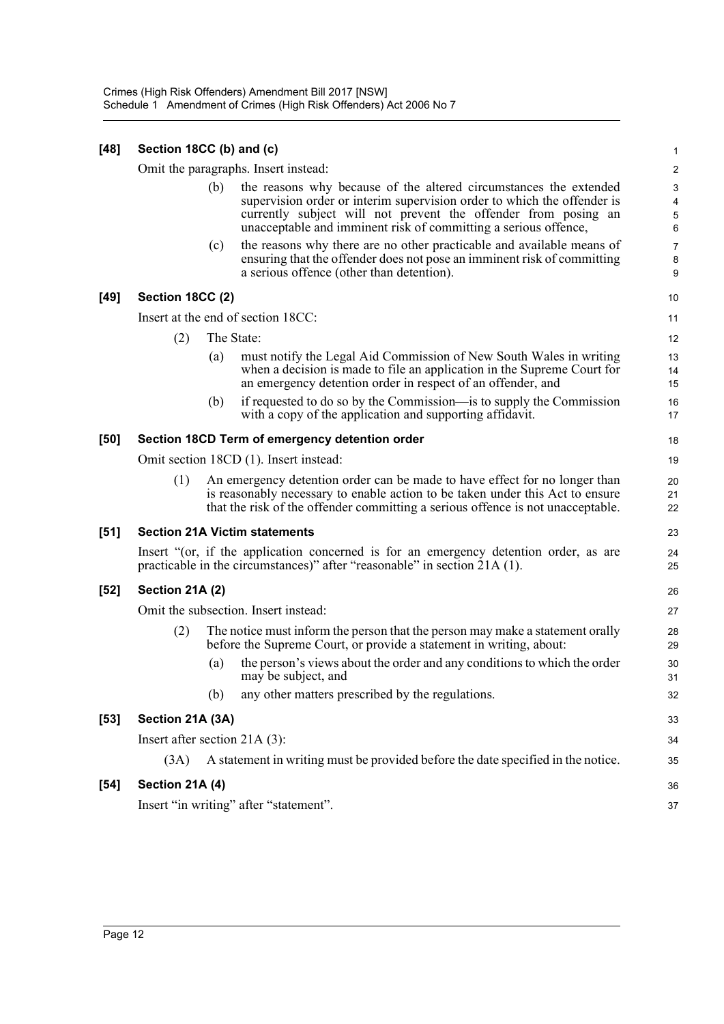| $[48]$ | Section 18CC (b) and (c)               |     |                                                                                                                                                                                                                                                                                   |                                                 |
|--------|----------------------------------------|-----|-----------------------------------------------------------------------------------------------------------------------------------------------------------------------------------------------------------------------------------------------------------------------------------|-------------------------------------------------|
|        | Omit the paragraphs. Insert instead:   |     |                                                                                                                                                                                                                                                                                   |                                                 |
|        |                                        | (b) | the reasons why because of the altered circumstances the extended<br>supervision order or interim supervision order to which the offender is<br>currently subject will not prevent the offender from posing an<br>unacceptable and imminent risk of committing a serious offence, | $\sqrt{3}$<br>$\overline{\mathbf{4}}$<br>5<br>6 |
|        |                                        | (c) | the reasons why there are no other practicable and available means of<br>ensuring that the offender does not pose an imminent risk of committing<br>a serious offence (other than detention).                                                                                     | $\overline{7}$<br>$\bf 8$<br>9                  |
| $[49]$ | Section 18CC (2)                       |     |                                                                                                                                                                                                                                                                                   |                                                 |
|        | Insert at the end of section 18CC:     |     |                                                                                                                                                                                                                                                                                   |                                                 |
|        | (2)                                    |     | The State:                                                                                                                                                                                                                                                                        | 12                                              |
|        |                                        | (a) | must notify the Legal Aid Commission of New South Wales in writing<br>when a decision is made to file an application in the Supreme Court for<br>an emergency detention order in respect of an offender, and                                                                      | 13<br>14<br>15                                  |
|        |                                        | (b) | if requested to do so by the Commission—is to supply the Commission<br>with a copy of the application and supporting affidavit.                                                                                                                                                   | 16<br>17                                        |
| $[50]$ |                                        |     | Section 18CD Term of emergency detention order                                                                                                                                                                                                                                    | 18                                              |
|        | Omit section 18CD (1). Insert instead: |     |                                                                                                                                                                                                                                                                                   |                                                 |
|        | (1)                                    |     | An emergency detention order can be made to have effect for no longer than<br>is reasonably necessary to enable action to be taken under this Act to ensure<br>that the risk of the offender committing a serious offence is not unacceptable.                                    | 20<br>21<br>22                                  |
| $[51]$ |                                        |     | <b>Section 21A Victim statements</b>                                                                                                                                                                                                                                              | 23                                              |
|        |                                        |     | Insert "(or, if the application concerned is for an emergency detention order, as are<br>practicable in the circumstances)" after "reasonable" in section 21A (1).                                                                                                                | 24<br>25                                        |
| $[52]$ | <b>Section 21A (2)</b>                 |     |                                                                                                                                                                                                                                                                                   | 26                                              |
|        | Omit the subsection. Insert instead:   |     |                                                                                                                                                                                                                                                                                   | 27                                              |
|        | (2)                                    |     | The notice must inform the person that the person may make a statement orally<br>before the Supreme Court, or provide a statement in writing, about:                                                                                                                              | 28<br>29                                        |
|        |                                        | (a) | the person's views about the order and any conditions to which the order<br>may be subject, and                                                                                                                                                                                   | 30<br>31                                        |
|        |                                        | (b) | any other matters prescribed by the regulations.                                                                                                                                                                                                                                  | 32                                              |
| $[53]$ | Section 21A (3A)                       |     |                                                                                                                                                                                                                                                                                   |                                                 |
|        | Insert after section 21A (3):          |     |                                                                                                                                                                                                                                                                                   |                                                 |
|        | (3A)                                   |     | A statement in writing must be provided before the date specified in the notice.                                                                                                                                                                                                  | 35                                              |
| $[54]$ | Section 21A (4)                        |     |                                                                                                                                                                                                                                                                                   | 36                                              |
|        |                                        |     | Insert "in writing" after "statement".                                                                                                                                                                                                                                            | 37                                              |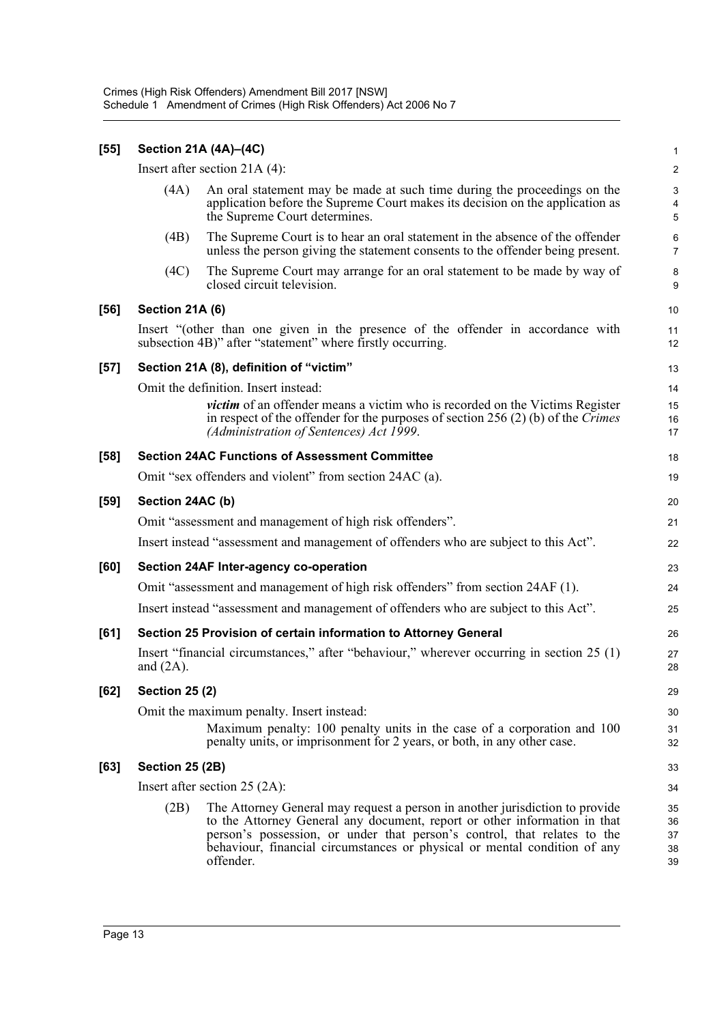| [55]   | Section 21A (4A)-(4C)                                                                                                                                                                                              |                                                                                                                                                                                                                                                                                                                                 |                                   |  |  |
|--------|--------------------------------------------------------------------------------------------------------------------------------------------------------------------------------------------------------------------|---------------------------------------------------------------------------------------------------------------------------------------------------------------------------------------------------------------------------------------------------------------------------------------------------------------------------------|-----------------------------------|--|--|
|        | Insert after section $21A(4)$ :                                                                                                                                                                                    |                                                                                                                                                                                                                                                                                                                                 |                                   |  |  |
|        | (4A)                                                                                                                                                                                                               | An oral statement may be made at such time during the proceedings on the<br>application before the Supreme Court makes its decision on the application as<br>the Supreme Court determines.                                                                                                                                      | 3<br>$\overline{\mathbf{4}}$<br>5 |  |  |
|        | (4B)                                                                                                                                                                                                               | The Supreme Court is to hear an oral statement in the absence of the offender<br>unless the person giving the statement consents to the offender being present.                                                                                                                                                                 | 6<br>$\overline{7}$               |  |  |
|        | (4C)                                                                                                                                                                                                               | The Supreme Court may arrange for an oral statement to be made by way of<br>closed circuit television.                                                                                                                                                                                                                          | 8<br>9                            |  |  |
| [56]   | <b>Section 21A (6)</b>                                                                                                                                                                                             |                                                                                                                                                                                                                                                                                                                                 |                                   |  |  |
|        |                                                                                                                                                                                                                    | Insert "(other than one given in the presence of the offender in accordance with<br>subsection 4B)" after "statement" where firstly occurring.                                                                                                                                                                                  | 11<br>12                          |  |  |
| $[57]$ |                                                                                                                                                                                                                    | Section 21A (8), definition of "victim"                                                                                                                                                                                                                                                                                         | 13                                |  |  |
|        | Omit the definition. Insert instead:                                                                                                                                                                               |                                                                                                                                                                                                                                                                                                                                 |                                   |  |  |
|        | victim of an offender means a victim who is recorded on the Victims Register<br>in respect of the offender for the purposes of section 256 (2) (b) of the <i>Crimes</i><br>(Administration of Sentences) Act 1999. |                                                                                                                                                                                                                                                                                                                                 |                                   |  |  |
| $[58]$ |                                                                                                                                                                                                                    | <b>Section 24AC Functions of Assessment Committee</b>                                                                                                                                                                                                                                                                           | 18                                |  |  |
|        | Omit "sex offenders and violent" from section 24AC (a).                                                                                                                                                            |                                                                                                                                                                                                                                                                                                                                 |                                   |  |  |
| $[59]$ | Section 24AC (b)                                                                                                                                                                                                   |                                                                                                                                                                                                                                                                                                                                 |                                   |  |  |
|        | Omit "assessment and management of high risk offenders".                                                                                                                                                           |                                                                                                                                                                                                                                                                                                                                 |                                   |  |  |
|        | Insert instead "assessment and management of offenders who are subject to this Act".                                                                                                                               |                                                                                                                                                                                                                                                                                                                                 |                                   |  |  |
| [60]   |                                                                                                                                                                                                                    | Section 24AF Inter-agency co-operation                                                                                                                                                                                                                                                                                          | 23                                |  |  |
|        | Omit "assessment and management of high risk offenders" from section 24AF (1).                                                                                                                                     |                                                                                                                                                                                                                                                                                                                                 |                                   |  |  |
|        | Insert instead "assessment and management of offenders who are subject to this Act".                                                                                                                               |                                                                                                                                                                                                                                                                                                                                 |                                   |  |  |
| [61]   | Section 25 Provision of certain information to Attorney General                                                                                                                                                    |                                                                                                                                                                                                                                                                                                                                 |                                   |  |  |
|        | Insert "financial circumstances," after "behaviour," wherever occurring in section 25 (1)<br>and $(2A)$ .                                                                                                          |                                                                                                                                                                                                                                                                                                                                 |                                   |  |  |
| [62]   | <b>Section 25 (2)</b>                                                                                                                                                                                              |                                                                                                                                                                                                                                                                                                                                 |                                   |  |  |
|        | Omit the maximum penalty. Insert instead:<br>Maximum penalty: 100 penalty units in the case of a corporation and 100<br>penalty units, or imprisonment for 2 years, or both, in any other case.                    |                                                                                                                                                                                                                                                                                                                                 |                                   |  |  |
| [63]   | Section 25 (2B)                                                                                                                                                                                                    |                                                                                                                                                                                                                                                                                                                                 |                                   |  |  |
|        | Insert after section $25 (2A)$ :                                                                                                                                                                                   |                                                                                                                                                                                                                                                                                                                                 |                                   |  |  |
|        | (2B)                                                                                                                                                                                                               | The Attorney General may request a person in another jurisdiction to provide<br>to the Attorney General any document, report or other information in that<br>person's possession, or under that person's control, that relates to the<br>behaviour, financial circumstances or physical or mental condition of any<br>offender. | 35<br>36<br>37<br>38<br>39        |  |  |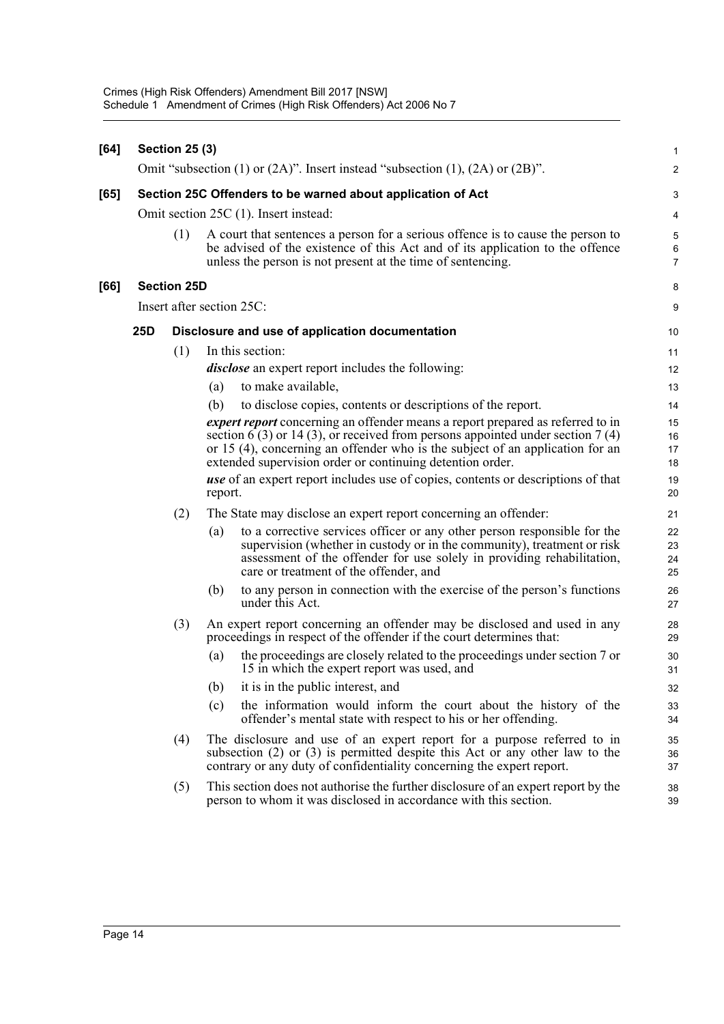| [64] |                                                             | <b>Section 25 (3)</b>                           |                                                                                                                                                                                                                                                                                                                        | $\mathbf{1}$             |
|------|-------------------------------------------------------------|-------------------------------------------------|------------------------------------------------------------------------------------------------------------------------------------------------------------------------------------------------------------------------------------------------------------------------------------------------------------------------|--------------------------|
|      |                                                             |                                                 | Omit "subsection (1) or $(2A)$ ". Insert instead "subsection (1), $(2A)$ or $(2B)$ ".                                                                                                                                                                                                                                  | $\overline{2}$           |
| [65] | Section 25C Offenders to be warned about application of Act |                                                 |                                                                                                                                                                                                                                                                                                                        |                          |
|      | Omit section 25C (1). Insert instead:                       |                                                 |                                                                                                                                                                                                                                                                                                                        |                          |
|      |                                                             | (1)                                             | A court that sentences a person for a serious offence is to cause the person to<br>be advised of the existence of this Act and of its application to the offence<br>unless the person is not present at the time of sentencing.                                                                                        | 5<br>6<br>$\overline{7}$ |
| [66] |                                                             | <b>Section 25D</b>                              |                                                                                                                                                                                                                                                                                                                        | 8                        |
|      |                                                             |                                                 | Insert after section 25C:                                                                                                                                                                                                                                                                                              | 9                        |
|      | 25D                                                         | Disclosure and use of application documentation |                                                                                                                                                                                                                                                                                                                        |                          |
|      |                                                             | (1)                                             | In this section:                                                                                                                                                                                                                                                                                                       | 11                       |
|      |                                                             |                                                 | <i>disclose</i> an expert report includes the following:                                                                                                                                                                                                                                                               | 12                       |
|      |                                                             |                                                 | to make available,<br>(a)                                                                                                                                                                                                                                                                                              | 13                       |
|      |                                                             |                                                 | (b)<br>to disclose copies, contents or descriptions of the report.                                                                                                                                                                                                                                                     | 14                       |
|      |                                                             |                                                 | <i>expert report</i> concerning an offender means a report prepared as referred to in<br>section 6 (3) or 14 (3), or received from persons appointed under section 7 (4)<br>or 15 (4), concerning an offender who is the subject of an application for an<br>extended supervision order or continuing detention order. | 15<br>16<br>17<br>18     |
|      |                                                             |                                                 | use of an expert report includes use of copies, contents or descriptions of that<br>report.                                                                                                                                                                                                                            | 19<br>20                 |
|      |                                                             | (2)                                             | The State may disclose an expert report concerning an offender:                                                                                                                                                                                                                                                        | 21                       |
|      |                                                             |                                                 | to a corrective services officer or any other person responsible for the<br>(a)<br>supervision (whether in custody or in the community), treatment or risk<br>assessment of the offender for use solely in providing rehabilitation,<br>care or treatment of the offender, and                                         | 22<br>23<br>24<br>25     |
|      |                                                             |                                                 | to any person in connection with the exercise of the person's functions<br>(b)<br>under this Act.                                                                                                                                                                                                                      | 26<br>27                 |
|      |                                                             | (3)                                             | An expert report concerning an offender may be disclosed and used in any<br>proceedings in respect of the offender if the court determines that:                                                                                                                                                                       | 28<br>29                 |
|      |                                                             |                                                 | (a)<br>the proceedings are closely related to the proceedings under section 7 or<br>15 in which the expert report was used, and                                                                                                                                                                                        | 30<br>31                 |
|      |                                                             |                                                 | (b) it is in the public interest, and                                                                                                                                                                                                                                                                                  | 32                       |
|      |                                                             |                                                 | the information would inform the court about the history of the<br>(c)<br>offender's mental state with respect to his or her offending.                                                                                                                                                                                | 33<br>34                 |
|      |                                                             | (4)                                             | The disclosure and use of an expert report for a purpose referred to in<br>subsection $(2)$ or $(3)$ is permitted despite this Act or any other law to the<br>contrary or any duty of confidentiality concerning the expert report.                                                                                    | 35<br>36<br>37           |
|      |                                                             | (5)                                             | This section does not authorise the further disclosure of an expert report by the<br>person to whom it was disclosed in accordance with this section.                                                                                                                                                                  | 38<br>39                 |
|      |                                                             |                                                 |                                                                                                                                                                                                                                                                                                                        |                          |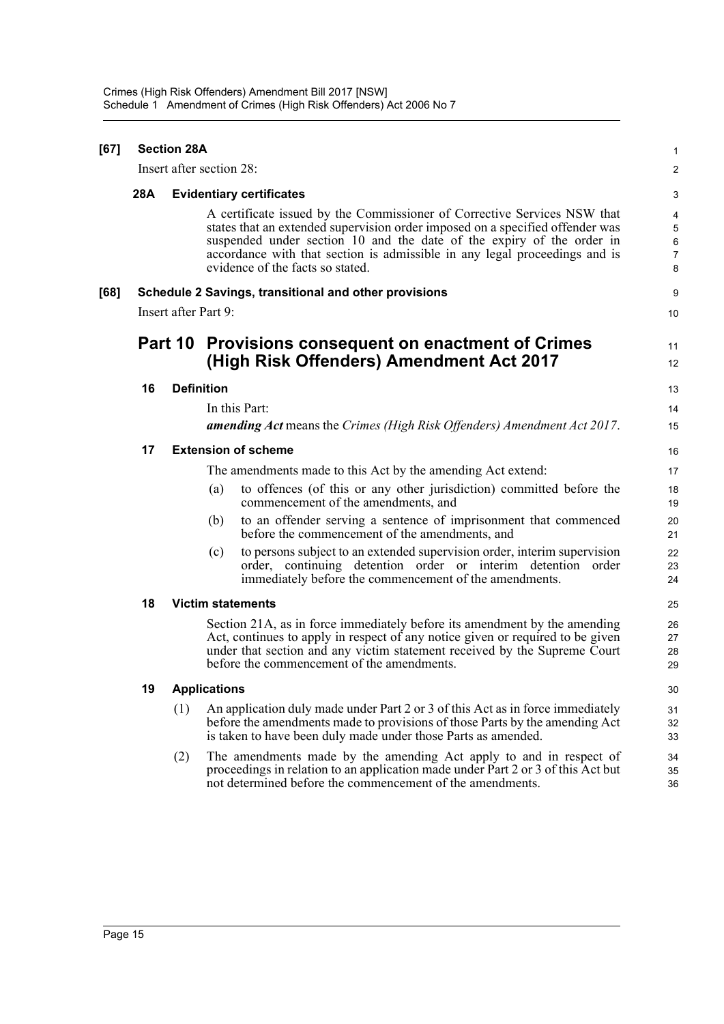| [67] | <b>Section 28A</b>       |     |                                                                                                                                                                                                                                                                                                                                                      | 1                                  |  |
|------|--------------------------|-----|------------------------------------------------------------------------------------------------------------------------------------------------------------------------------------------------------------------------------------------------------------------------------------------------------------------------------------------------------|------------------------------------|--|
|      | Insert after section 28: |     |                                                                                                                                                                                                                                                                                                                                                      | $\overline{c}$                     |  |
|      | 28A                      |     | <b>Evidentiary certificates</b>                                                                                                                                                                                                                                                                                                                      |                                    |  |
|      |                          |     | A certificate issued by the Commissioner of Corrective Services NSW that<br>states that an extended supervision order imposed on a specified offender was<br>suspended under section 10 and the date of the expiry of the order in<br>accordance with that section is admissible in any legal proceedings and is<br>evidence of the facts so stated. | 4<br>5<br>6<br>$\overline{7}$<br>8 |  |
| [68] |                          |     | Schedule 2 Savings, transitional and other provisions                                                                                                                                                                                                                                                                                                | 9                                  |  |
|      | Insert after Part 9:     |     |                                                                                                                                                                                                                                                                                                                                                      | 10                                 |  |
|      |                          |     | Part 10 Provisions consequent on enactment of Crimes<br>(High Risk Offenders) Amendment Act 2017                                                                                                                                                                                                                                                     |                                    |  |
|      | 16                       |     | <b>Definition</b>                                                                                                                                                                                                                                                                                                                                    | 13                                 |  |
|      |                          |     | In this Part:                                                                                                                                                                                                                                                                                                                                        | 14                                 |  |
|      |                          |     | <b>amending Act</b> means the Crimes (High Risk Offenders) Amendment Act 2017.                                                                                                                                                                                                                                                                       | 15                                 |  |
|      | 17                       |     | <b>Extension of scheme</b>                                                                                                                                                                                                                                                                                                                           | 16                                 |  |
|      |                          |     | The amendments made to this Act by the amending Act extend:                                                                                                                                                                                                                                                                                          | 17                                 |  |
|      |                          |     | to offences (of this or any other jurisdiction) committed before the<br>(a)<br>commencement of the amendments, and                                                                                                                                                                                                                                   | 18<br>19                           |  |
|      |                          |     | to an offender serving a sentence of imprisonment that commenced<br>(b)<br>before the commencement of the amendments, and                                                                                                                                                                                                                            | 20<br>21                           |  |
|      |                          |     | to persons subject to an extended supervision order, interim supervision<br>(c)<br>order, continuing detention order or interim detention order<br>immediately before the commencement of the amendments.                                                                                                                                            | 22<br>23<br>24                     |  |
|      | 18                       |     | <b>Victim statements</b>                                                                                                                                                                                                                                                                                                                             | 25                                 |  |
|      |                          |     | Section 21A, as in force immediately before its amendment by the amending<br>Act, continues to apply in respect of any notice given or required to be given<br>under that section and any victim statement received by the Supreme Court<br>before the commencement of the amendments.                                                               | 26<br>27<br>28<br>29               |  |
|      | 19                       |     | <b>Applications</b>                                                                                                                                                                                                                                                                                                                                  | 30                                 |  |
|      |                          | (1) | An application duly made under Part 2 or 3 of this Act as in force immediately<br>before the amendments made to provisions of those Parts by the amending Act<br>is taken to have been duly made under those Parts as amended.                                                                                                                       | 31<br>32<br>33                     |  |
|      |                          | (2) | The amendments made by the amending Act apply to and in respect of<br>proceedings in relation to an application made under Part 2 or 3 of this Act but<br>not determined before the commencement of the amendments.                                                                                                                                  | 34<br>35<br>36                     |  |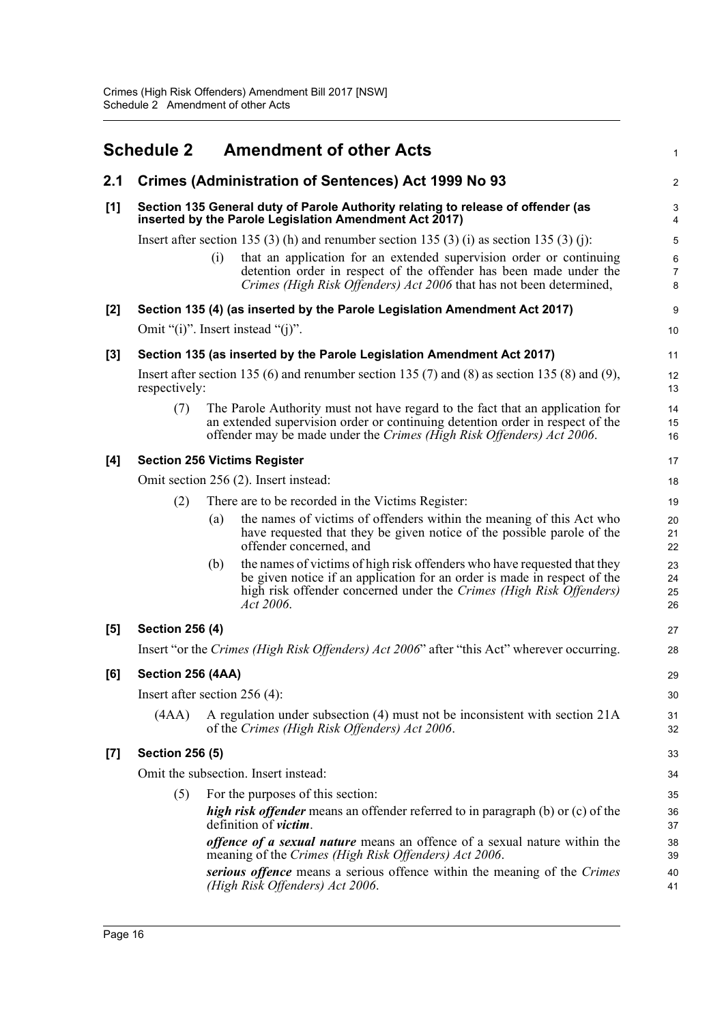<span id="page-20-0"></span>

|       | <b>Schedule 2</b>                                                                                                                          |     | <b>Amendment of other Acts</b>                                                                                                                                                                                                           | 1                        |  |
|-------|--------------------------------------------------------------------------------------------------------------------------------------------|-----|------------------------------------------------------------------------------------------------------------------------------------------------------------------------------------------------------------------------------------------|--------------------------|--|
| 2.1   |                                                                                                                                            |     | <b>Crimes (Administration of Sentences) Act 1999 No 93</b>                                                                                                                                                                               | 2                        |  |
| [1]   | Section 135 General duty of Parole Authority relating to release of offender (as<br>inserted by the Parole Legislation Amendment Act 2017) |     |                                                                                                                                                                                                                                          |                          |  |
|       | Insert after section 135 (3) (h) and renumber section 135 (3) (i) as section 135 (3) (j):                                                  |     |                                                                                                                                                                                                                                          |                          |  |
|       |                                                                                                                                            | (i) | that an application for an extended supervision order or continuing<br>detention order in respect of the offender has been made under the<br>Crimes (High Risk Offenders) Act 2006 that has not been determined,                         | 6<br>$\overline{7}$<br>8 |  |
| [2]   |                                                                                                                                            |     | Section 135 (4) (as inserted by the Parole Legislation Amendment Act 2017)                                                                                                                                                               | 9                        |  |
|       | Omit "(i)". Insert instead "(j)".                                                                                                          |     |                                                                                                                                                                                                                                          |                          |  |
| [3]   | Section 135 (as inserted by the Parole Legislation Amendment Act 2017)                                                                     |     |                                                                                                                                                                                                                                          |                          |  |
|       | Insert after section 135 (6) and renumber section 135 (7) and (8) as section 135 (8) and (9),<br>respectively:                             |     |                                                                                                                                                                                                                                          |                          |  |
|       | (7)                                                                                                                                        |     | The Parole Authority must not have regard to the fact that an application for<br>an extended supervision order or continuing detention order in respect of the<br>offender may be made under the Crimes (High Risk Offenders) Act 2006.  | 14<br>15<br>16           |  |
| [4]   | <b>Section 256 Victims Register</b>                                                                                                        |     |                                                                                                                                                                                                                                          |                          |  |
|       | Omit section 256 (2). Insert instead:                                                                                                      |     |                                                                                                                                                                                                                                          |                          |  |
|       | (2)                                                                                                                                        |     | There are to be recorded in the Victims Register:                                                                                                                                                                                        | 19                       |  |
|       |                                                                                                                                            | (a) | the names of victims of offenders within the meaning of this Act who<br>have requested that they be given notice of the possible parole of the<br>offender concerned, and                                                                | 20<br>21<br>22           |  |
|       |                                                                                                                                            | (b) | the names of victims of high risk offenders who have requested that they<br>be given notice if an application for an order is made in respect of the<br>high risk offender concerned under the Crimes (High Risk Offenders)<br>Act 2006. | 23<br>24<br>25<br>26     |  |
| [5]   | <b>Section 256 (4)</b>                                                                                                                     |     |                                                                                                                                                                                                                                          |                          |  |
|       |                                                                                                                                            |     | Insert "or the Crimes (High Risk Offenders) Act 2006" after "this Act" wherever occurring.                                                                                                                                               | 28                       |  |
| [6]   | Section 256 (4AA)                                                                                                                          |     |                                                                                                                                                                                                                                          | 29                       |  |
|       | Insert after section $256(4)$ :                                                                                                            |     |                                                                                                                                                                                                                                          |                          |  |
|       | (AAA)                                                                                                                                      |     | A regulation under subsection (4) must not be inconsistent with section 21A<br>of the Crimes (High Risk Offenders) Act 2006.                                                                                                             | 31<br>32                 |  |
| $[7]$ | <b>Section 256 (5)</b>                                                                                                                     |     |                                                                                                                                                                                                                                          |                          |  |
|       | Omit the subsection. Insert instead:                                                                                                       |     |                                                                                                                                                                                                                                          |                          |  |
|       | (5)                                                                                                                                        |     | For the purposes of this section:                                                                                                                                                                                                        | 35                       |  |
|       |                                                                                                                                            |     | <i>high risk offender</i> means an offender referred to in paragraph (b) or (c) of the<br>definition of <i>victim</i> .                                                                                                                  | 36<br>37                 |  |
|       |                                                                                                                                            |     | <i>offence of a sexual nature</i> means an offence of a sexual nature within the<br>meaning of the Crimes (High Risk Offenders) Act 2006.                                                                                                | 38<br>39                 |  |
|       |                                                                                                                                            |     | serious offence means a serious offence within the meaning of the Crimes<br>(High Risk Offenders) Act 2006.                                                                                                                              | 40<br>41                 |  |